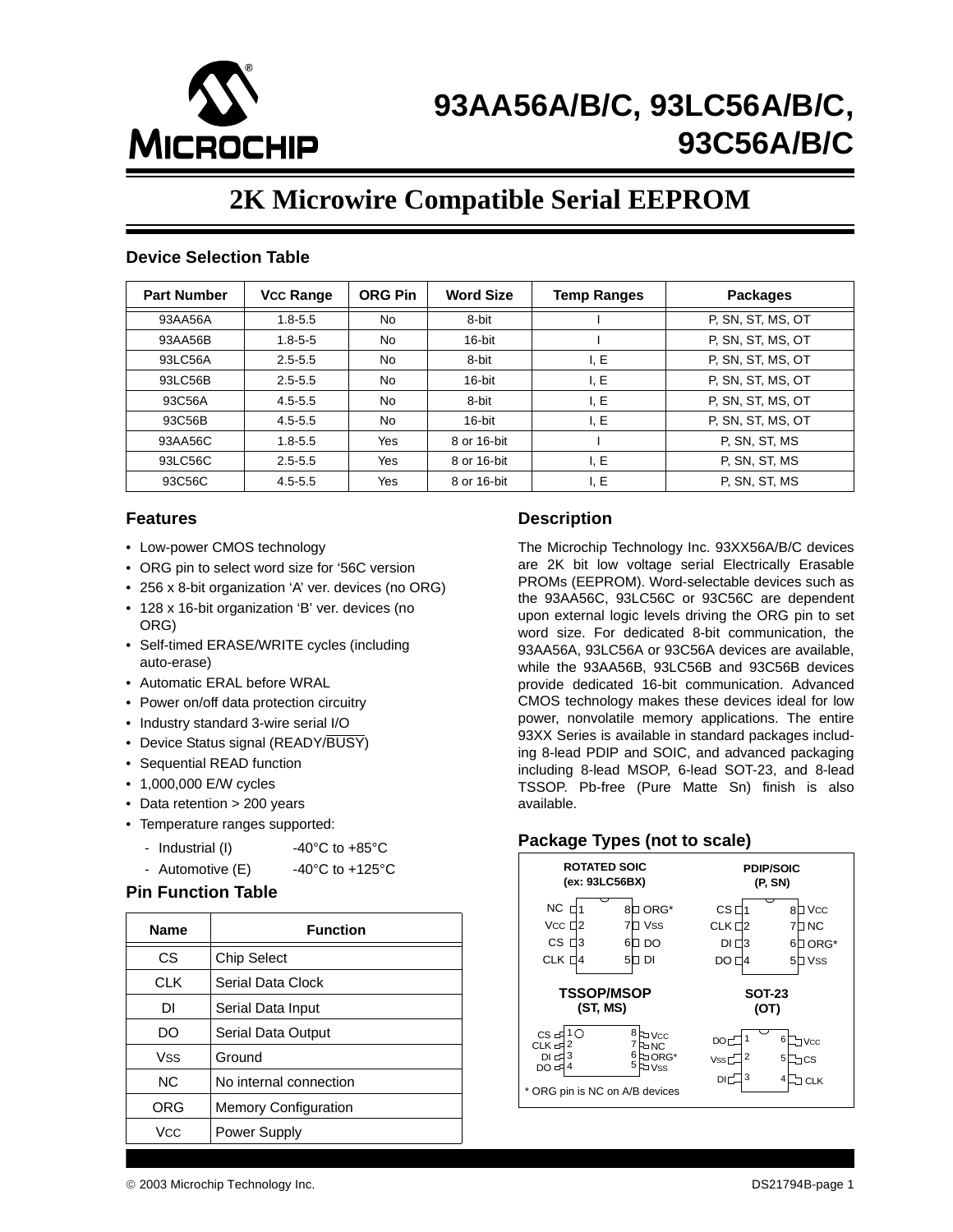

## **93AA56A/B/C, 93LC56A/B/C, 93C56A/B/C**

## **2K Microwire Compatible Serial EEPROM**

#### **Device Selection Table**

| <b>Part Number</b> | <b>Vcc Range</b> | <b>ORG Pin</b> | <b>Word Size</b> | <b>Temp Ranges</b> | <b>Packages</b>   |
|--------------------|------------------|----------------|------------------|--------------------|-------------------|
| 93AA56A            | $1.8 - 5.5$      | No             | 8-bit            |                    | P, SN, ST, MS, OT |
| 93AA56B            | $1.8 - 5 - 5$    | No             | 16-bit           |                    | P, SN, ST, MS, OT |
| 93LC56A            | $2.5 - 5.5$      | No             | 8-bit            | I, E               | P, SN, ST, MS, OT |
| 93LC56B            | $2.5 - 5.5$      | No             | 16-bit           | I, E               | P, SN, ST, MS, OT |
| 93C56A             | $4.5 - 5.5$      | No             | 8-bit            | I, E               | P, SN, ST, MS, OT |
| 93C56B             | $4.5 - 5.5$      | No             | $16$ -bit        | I, E               | P, SN, ST, MS, OT |
| 93AA56C            | $1.8 - 5.5$      | Yes            | 8 or 16-bit      |                    | P. SN, ST, MS     |
| 93LC56C            | $2.5 - 5.5$      | Yes            | 8 or 16-bit      | I. E               | P. SN, ST, MS     |
| 93C56C             | $4.5 - 5.5$      | Yes            | 8 or 16-bit      | I, E               | P, SN, ST, MS     |

#### **Features**

- Low-power CMOS technology
- ORG pin to select word size for '56C version
- 256 x 8-bit organization 'A' ver. devices (no ORG)
- 128 x 16-bit organization 'B' ver. devices (no ORG)
- Self-timed ERASE/WRITE cycles (including auto-erase)
- Automatic ERAL before WRAL
- Power on/off data protection circuitry
- Industry standard 3-wire serial I/O
- Device Status signal (READY/BUSY)
- Sequential READ function
- 1,000,000 E/W cycles
- Data retention > 200 years
- Temperature ranges supported:
	- Industrial (I)  $-40^{\circ}$ C to  $+85^{\circ}$ C
	- Automotive  $(E)$  -40°C to +125°C

#### **Pin Function Table**

| <b>Name</b>           | <b>Function</b>             |
|-----------------------|-----------------------------|
| СS                    | <b>Chip Select</b>          |
| <b>CLK</b>            | Serial Data Clock           |
| DΙ                    | Serial Data Input           |
| DO                    | Serial Data Output          |
| <b>Vss</b>            | Ground                      |
| NC.                   | No internal connection      |
| ORG                   | <b>Memory Configuration</b> |
| <b>V<sub>CC</sub></b> | Power Supply                |

#### **Description**

The Microchip Technology Inc. 93XX56A/B/C devices are 2K bit low voltage serial Electrically Erasable PROMs (EEPROM). Word-selectable devices such as the 93AA56C, 93LC56C or 93C56C are dependent upon external logic levels driving the ORG pin to set word size. For dedicated 8-bit communication, the 93AA56A, 93LC56A or 93C56A devices are available, while the 93AA56B, 93LC56B and 93C56B devices provide dedicated 16-bit communication. Advanced CMOS technology makes these devices ideal for low power, nonvolatile memory applications. The entire 93XX Series is available in standard packages including 8-lead PDIP and SOIC, and advanced packaging including 8-lead MSOP, 6-lead SOT-23, and 8-lead TSSOP. Pb-free (Pure Matte Sn) finish is also available.

#### **Package Types (not to scale)**

|                                                          | <b>ROTATED SOIC</b><br>(ex: 93LC56BX) |                                                                       |                                             |                       | <b>PDIP/SOIC</b><br>(P, SN)                                 |
|----------------------------------------------------------|---------------------------------------|-----------------------------------------------------------------------|---------------------------------------------|-----------------------|-------------------------------------------------------------|
| $NC$ $H'$<br>Vcc $\Box$ 2<br>CS E3<br>CLK D <sub>4</sub> | 6<br>51                               | 8 <sup>D</sup> ORG*<br><b>Vss</b><br>DO<br>П<br>DI                    | CS <sub>1</sub><br>CLK 02<br>DI 03<br>DO E4 |                       | <b>D</b> Vcc<br>8<br>J NC<br>$\Box$ ORG*<br>6<br>I Vss<br>5 |
|                                                          | <b>TSSOP/MSOP</b><br>(ST, MS)         |                                                                       |                                             | <b>SOT-23</b><br>(OT) |                                                             |
| ∩<br>$CS -$<br>ᅂᅜ<br>$DI = 3$<br>DO = 4                  |                                       | 8<br><b>Fo</b> Vcc<br>FINC<br>6<br><b>FoorG*</b><br>5<br><b>D</b> Vss | <b>DOT</b><br>VSS                           | 2                     | 6<br><b>Vcc</b><br>5<br>cs                                  |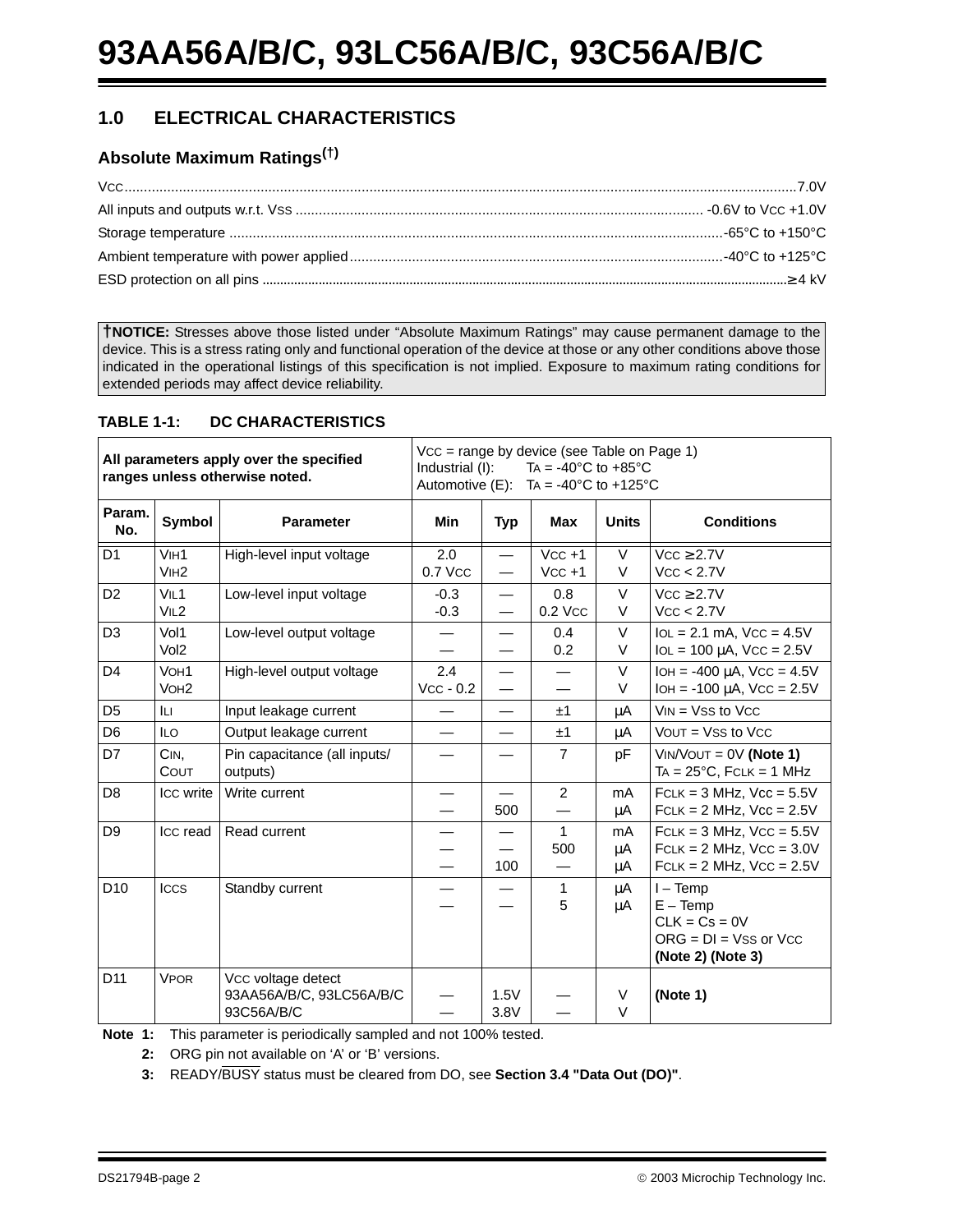## **1.0 ELECTRICAL CHARACTERISTICS**

## **Absolute Maximum Ratings(†)**

**†NOTICE:** Stresses above those listed under "Absolute Maximum Ratings" may cause permanent damage to the device. This is a stress rating only and functional operation of the device at those or any other conditions above those indicated in the operational listings of this specification is not implied. Exposure to maximum rating conditions for extended periods may affect device reliability.

#### **TABLE 1-1: DC CHARACTERISTICS**

| All parameters apply over the specified<br>ranges unless otherwise noted. |                                      |                                                              | Vcc = range by device (see Table on Page 1)<br>TA = $-40^{\circ}$ C to $+85^{\circ}$ C<br>Industrial (I):<br>Automotive (E): TA = -40 $^{\circ}$ C to +125 $^{\circ}$ C |                          |                      |                  |                                                                                                 |  |  |  |  |
|---------------------------------------------------------------------------|--------------------------------------|--------------------------------------------------------------|-------------------------------------------------------------------------------------------------------------------------------------------------------------------------|--------------------------|----------------------|------------------|-------------------------------------------------------------------------------------------------|--|--|--|--|
| Param.<br>No.                                                             | <b>Symbol</b>                        | <b>Parameter</b>                                             | <b>Min</b>                                                                                                                                                              | <b>Typ</b>               | <b>Max</b>           | <b>Units</b>     | <b>Conditions</b>                                                                               |  |  |  |  |
| D <sub>1</sub>                                                            | V <sub>IH1</sub><br>V <sub>IH2</sub> | High-level input voltage                                     | 2.0<br>0.7 Vcc                                                                                                                                                          | $\overline{\phantom{0}}$ | $VCC +1$<br>$VCC +1$ | $\vee$<br>V      | $Vcc \geq 2.7V$<br>Vcc < 2.7V                                                                   |  |  |  |  |
| D <sub>2</sub>                                                            | VIL1<br>VIL2                         | Low-level input voltage                                      | $-0.3$<br>$-0.3$                                                                                                                                                        | $\overline{\phantom{0}}$ | 0.8<br>0.2 Vcc       | $\vee$<br>$\vee$ | $Vcc \geq 2.7V$<br>Vcc < 2.7V                                                                   |  |  |  |  |
| D <sub>3</sub>                                                            | Vol1<br>Vol <sub>2</sub>             | Low-level output voltage                                     |                                                                                                                                                                         |                          | 0.4<br>0.2           | $\vee$<br>$\vee$ | $IoL = 2.1$ mA, $VCC = 4.5V$<br>$IOL = 100 \mu A$ , $VCC = 2.5V$                                |  |  |  |  |
| D <sub>4</sub>                                                            | VOH <sub>1</sub><br>VOH <sub>2</sub> | High-level output voltage                                    | 2.4<br>$Vcc - 0.2$                                                                                                                                                      | $\overline{\phantom{0}}$ |                      | $\vee$<br>$\vee$ | $IOH = -400 \mu A$ , Vcc = 4.5V<br>$IOH = -100 \mu A$ , $VCC = 2.5V$                            |  |  |  |  |
| D <sub>5</sub>                                                            | Iц                                   | Input leakage current                                        |                                                                                                                                                                         |                          | ±1                   | μA               | $VIN = VSS$ to $VCC$                                                                            |  |  |  |  |
| D <sub>6</sub>                                                            | <b>ILO</b>                           | Output leakage current                                       |                                                                                                                                                                         |                          | ±1                   | μA               | $VOUT = VSS$ to $VCC$                                                                           |  |  |  |  |
| D7                                                                        | CIN.<br><b>COUT</b>                  | Pin capacitance (all inputs/<br>outputs)                     |                                                                                                                                                                         |                          | $\overline{7}$       | pF               | $VIN/VOUT = 0V (Note 1)$<br>$TA = 25^{\circ}C$ , $FCLK = 1$ MHz                                 |  |  |  |  |
| D <sub>8</sub>                                                            | Icc write                            | Write current                                                |                                                                                                                                                                         | 500                      | $\overline{2}$       | mA<br>μA         | $FCLK = 3 MHz$ , $Vcc = 5.5V$<br>$FCLK = 2 MHz$ , $Vcc = 2.5V$                                  |  |  |  |  |
| D <sub>9</sub>                                                            | Icc read                             | Read current                                                 |                                                                                                                                                                         | —<br>100                 | $\mathbf{1}$<br>500  | mA<br>μA<br>μA   | $FCLK = 3 MHz$ , $VCC = 5.5V$<br>$FCLK = 2 MHz$ , $VCC = 3.0V$<br>$FCLK = 2 MHz$ , $VCC = 2.5V$ |  |  |  |  |
| D <sub>10</sub>                                                           | <b>ICCS</b>                          | Standby current                                              |                                                                                                                                                                         |                          | 1<br>5               | μA<br>μA         | $I - Temp$<br>$E - Temp$<br>$CLK = Cs = 0V$<br>$ORG = DI = Vss$ or $Vcc$<br>(Note 2) (Note 3)   |  |  |  |  |
| D <sub>11</sub>                                                           | <b>VPOR</b>                          | Vcc voltage detect<br>93AA56A/B/C, 93LC56A/B/C<br>93C56A/B/C |                                                                                                                                                                         | 1.5V<br>3.8V             |                      | V<br>$\vee$      | (Note 1)                                                                                        |  |  |  |  |

**Note 1:** This parameter is periodically sampled and not 100% tested.

**2:** ORG pin not available on 'A' or 'B' versions.

**3:** READY/BUSY status must be cleared from DO, see **[Section 3.4 "Data Out \(DO\)"](#page-10-0)**.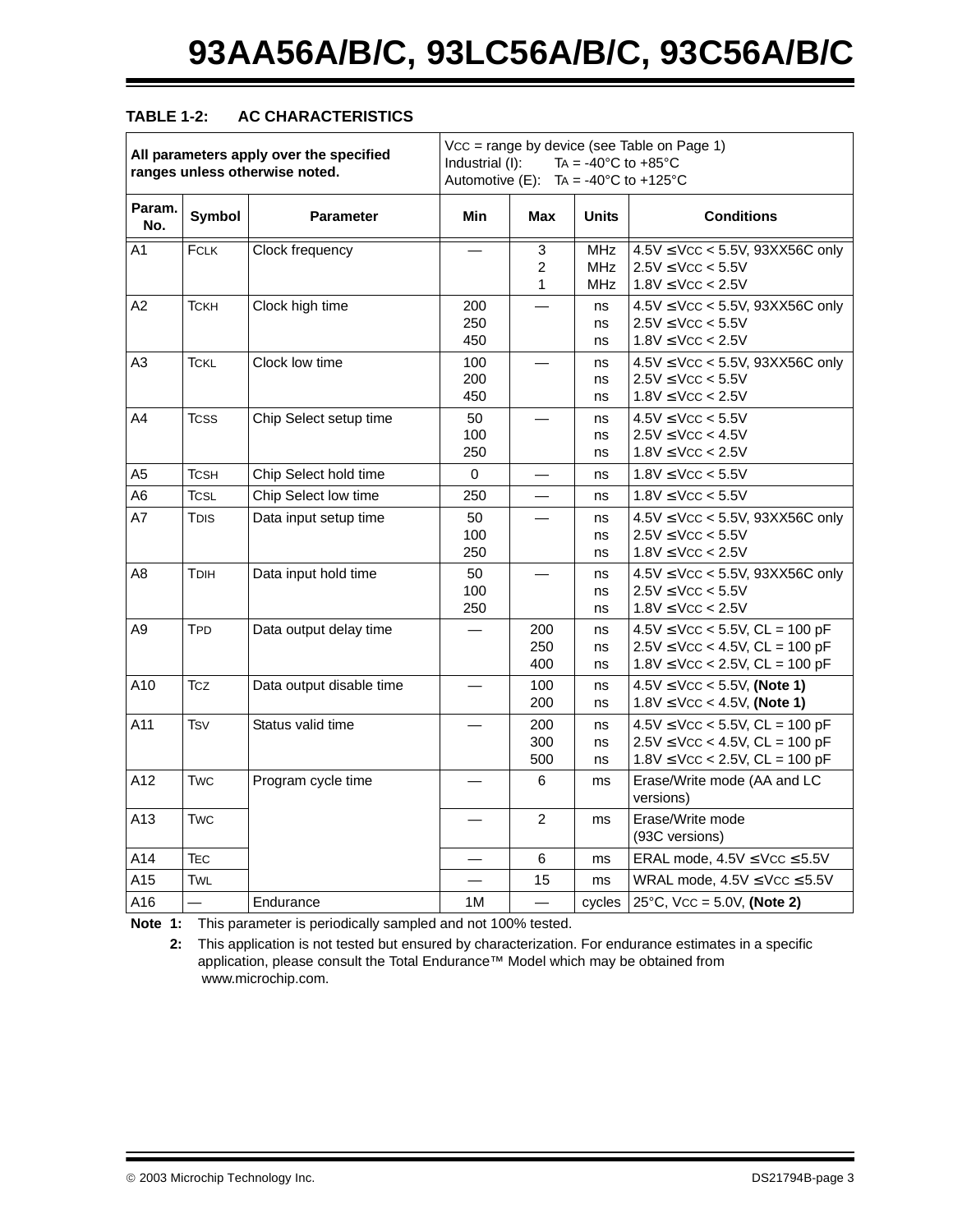#### **TABLE 1-2: AC CHARACTERISTICS**

|               |             | All parameters apply over the specified<br>ranges unless otherwise noted. | Vcc = range by device (see Table on Page 1)<br>TA = $-40^{\circ}$ C to $+85^{\circ}$ C<br>Industrial (I):<br>Automotive (E): TA = -40°C to +125°C |                                     |                          |                                                                                                                     |  |  |  |  |
|---------------|-------------|---------------------------------------------------------------------------|---------------------------------------------------------------------------------------------------------------------------------------------------|-------------------------------------|--------------------------|---------------------------------------------------------------------------------------------------------------------|--|--|--|--|
| Param.<br>No. | Symbol      | <b>Parameter</b>                                                          | <b>Min</b>                                                                                                                                        | <b>Max</b>                          | <b>Units</b>             | <b>Conditions</b>                                                                                                   |  |  |  |  |
| A1            | FCLK        | Clock frequency                                                           |                                                                                                                                                   | 3<br>$\overline{2}$<br>$\mathbf{1}$ | MHz<br><b>MHz</b><br>MHz | $4.5V \leq Vcc < 5.5V$ , 93XX56C only<br>$2.5V \leq VCC < 5.5V$<br>$1.8V \leq VCC < 2.5V$                           |  |  |  |  |
| A2            | Тскн        | Clock high time                                                           | 200<br>250<br>450                                                                                                                                 |                                     | ns<br>ns<br>ns           | $4.5V \leq Vcc < 5.5V$ , 93XX56C only<br>$2.5V \leq VCC < 5.5V$<br>$1.8V \leq VCC < 2.5V$                           |  |  |  |  |
| A3            | TCKL        | Clock low time                                                            | 100<br>200<br>450                                                                                                                                 |                                     | ns<br>ns<br>ns           | $4.5V \leq Vcc < 5.5V$ , 93XX56C only<br>$2.5V \leq VCC < 5.5V$<br>$1.8V \leq VCC < 2.5V$                           |  |  |  |  |
| A4            | <b>TCSS</b> | Chip Select setup time                                                    | 50<br>100<br>250                                                                                                                                  |                                     | ns<br>ns<br>ns           | $4.5V \leq VCC < 5.5V$<br>$2.5V \leq VCC < 4.5V$<br>$1.8V \leq VCC < 2.5V$                                          |  |  |  |  |
| A5            | TCSH        | Chip Select hold time                                                     | 0                                                                                                                                                 |                                     | ns                       | $1.8V \leq VCC < 5.5V$                                                                                              |  |  |  |  |
| A6            | TCSL        | Chip Select low time                                                      | 250                                                                                                                                               |                                     | ns                       | $1.8V \leq VCC < 5.5V$                                                                                              |  |  |  |  |
| A7            | TDIS        | Data input setup time                                                     | 50<br>100<br>250                                                                                                                                  |                                     | ns<br>ns<br>ns           | $4.5V \leq Vcc < 5.5V$ , 93XX56C only<br>$2.5V \leq VCC < 5.5V$<br>$1.8V \leq VCC < 2.5V$                           |  |  |  |  |
| A8            | Трін        | Data input hold time                                                      | 50<br>100<br>250                                                                                                                                  |                                     | ns<br>ns<br>ns           | $4.5V \leq Vcc < 5.5V$ , 93XX56C only<br>$2.5V \leq VCC < 5.5V$<br>$1.8V \leq VCC < 2.5V$                           |  |  |  |  |
| A9            | TPD         | Data output delay time                                                    |                                                                                                                                                   | 200<br>250<br>400                   | ns<br>ns<br>ns           | $4.5V \leq Vcc < 5.5V$ , CL = 100 pF<br>$2.5V \leq VCC < 4.5V$ , CL = 100 pF<br>$1.8V \leq$ Vcc < 2.5V, CL = 100 pF |  |  |  |  |
| A10           | <b>Tcz</b>  | Data output disable time                                                  |                                                                                                                                                   | 100<br>200                          | ns<br>ns                 | $4.5V \leq VCC < 5.5V$ , (Note 1)<br>$1.8V \leq VCC < 4.5V$ , (Note 1)                                              |  |  |  |  |
| A11           | <b>Tsv</b>  | Status valid time                                                         |                                                                                                                                                   | 200<br>300<br>500                   | ns<br>ns<br>ns           | $4.5V \leq VCC < 5.5V$ , CL = 100 pF<br>$2.5V \leq$ VCC < 4.5V, CL = 100 pF<br>$1.8V \leq VCC < 2.5V$ , CL = 100 pF |  |  |  |  |
| A12           | Twc         | Program cycle time                                                        |                                                                                                                                                   | 6                                   | ms                       | Erase/Write mode (AA and LC<br>versions)                                                                            |  |  |  |  |
| A13           | Twc         |                                                                           |                                                                                                                                                   | 2                                   | ms                       | Erase/Write mode<br>(93C versions)                                                                                  |  |  |  |  |
| A14           | TEC         |                                                                           |                                                                                                                                                   | 6                                   | ms                       | ERAL mode, $4.5V \leq VCC \leq 5.5V$                                                                                |  |  |  |  |
| A15           | TWL         |                                                                           |                                                                                                                                                   | 15                                  | ms                       | WRAL mode, $4.5V \leq Vcc \leq 5.5V$                                                                                |  |  |  |  |
| A16           |             | Endurance                                                                 | 1M                                                                                                                                                |                                     | cycles                   | $25^{\circ}$ C, Vcc = 5.0V, (Note 2)                                                                                |  |  |  |  |

**Note 1:** This parameter is periodically sampled and not 100% tested.

**2:** This application is not tested but ensured by characterization. For endurance estimates in a specific application, please consult the Total Endurance™ Model which may be obtained from www.microchip.com.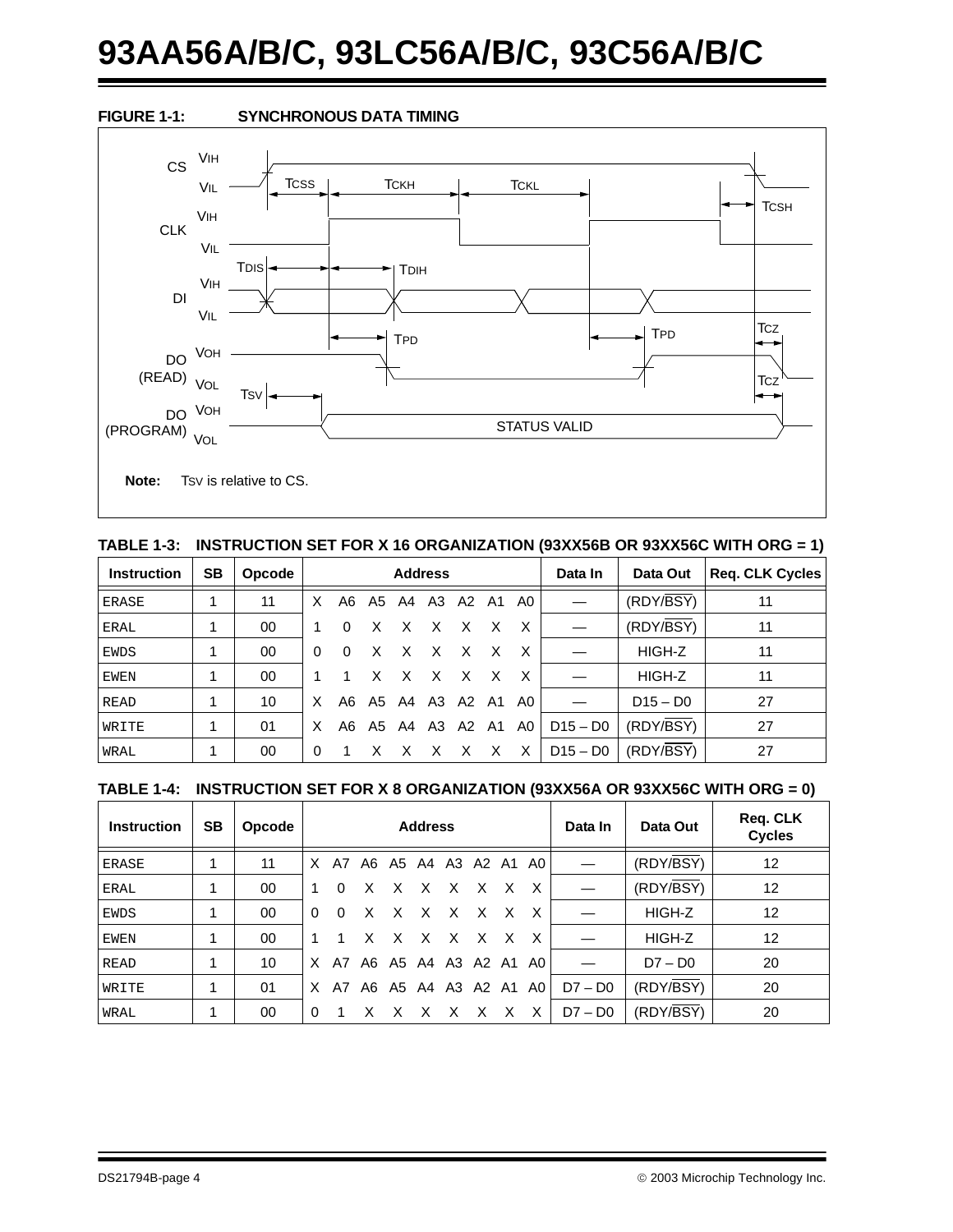# **93AA56A/B/C, 93LC56A/B/C, 93C56A/B/C**



#### **TABLE 1-3: INSTRUCTION SET FOR X 16 ORGANIZATION (93XX56B OR 93XX56C WITH ORG = 1)**

| <b>Instruction</b> | <b>SB</b> | Opcode | <b>Address</b> |          |   |                |   |              |      | Data In              | Data Out   | <b>Reg. CLK Cycles</b> |    |
|--------------------|-----------|--------|----------------|----------|---|----------------|---|--------------|------|----------------------|------------|------------------------|----|
| ERASE              |           | 11     | X              |          |   | A6 A5 A4 A3 A2 |   |              | A1   | A0                   |            | (RDY/BSY)              | 11 |
| <b>ERAL</b>        |           | 00     |                | 0        | X | x              | X | X            | X    | X                    |            | (RDY/BSY)              | 11 |
| <b>EWDS</b>        |           | 00     | $\Omega$       | $\Omega$ | X | x x            |   | $\mathsf{X}$ | X    | X                    |            | HIGH-Z                 | 11 |
| <b>EWEN</b>        |           | 00     |                |          | x | X              | X | X            | X    | X                    |            | HIGH-Z                 | 11 |
| READ               |           | 10     | X              |          |   | A6 A5 A4 A3 A2 |   |              | - A1 | A0.                  |            | $D15 - D0$             | 27 |
| WRITE              |           | 01     | X              |          |   |                |   |              |      | A6 A5 A4 A3 A2 A1 A0 | $D15 - D0$ | (RDY/BSY)              | 27 |
| WRAL               |           | 00     | $\Omega$       |          | X |                | X | X            | X    | X                    | $D15 - D0$ | (RDY/BSY)              | 27 |

#### **TABLE 1-4: INSTRUCTION SET FOR X 8 ORGANIZATION (93XX56A OR 93XX56C WITH ORG = 0)**

| <b>Instruction</b> | <b>SB</b> | Opcode |              |          |    |              | <b>Address</b> |           |   |                         | Data In   | Data Out              | Req. CLK<br><b>Cycles</b> |
|--------------------|-----------|--------|--------------|----------|----|--------------|----------------|-----------|---|-------------------------|-----------|-----------------------|---------------------------|
| ERASE              |           | 11     |              | X A7     |    |              |                |           |   | A6 A5 A4 A3 A2 A1 A0    |           | $(RDY\overline{BSY})$ | 12                        |
| ERAL               |           | 00     | $\mathbf{1}$ | $\Omega$ | X  |              |                | x x x x   | X | X                       |           | $(RDY\overline{BSY})$ | $12 \overline{ }$         |
| EWDS               |           | 00     | $\Omega$     | $\Omega$ | X. |              |                | x x x x x |   | X                       |           | HIGH-Z                | 12                        |
| EWEN               |           | 00     | 1.           |          | X. |              |                | x x x x x |   | X                       |           | HIGH-Z                | $12 \overline{ }$         |
| READ               |           | 10     | X.           | A7       |    |              |                |           |   | A6 A5 A4 A3 A2 A1 A0    |           | $D7 - D0$             | 20                        |
| WRITE              |           | 01     | X.           |          |    |              |                |           |   | A7 A6 A5 A4 A3 A2 A1 A0 | $D7 - D0$ | (RDY/BSY)             | 20                        |
| WRAL               |           | 00     | $\Omega$     |          | X  | $\mathsf{X}$ |                | X X X     |   | $X$ $X$                 | $D7 - D0$ | (RDY/BSY)             | 20                        |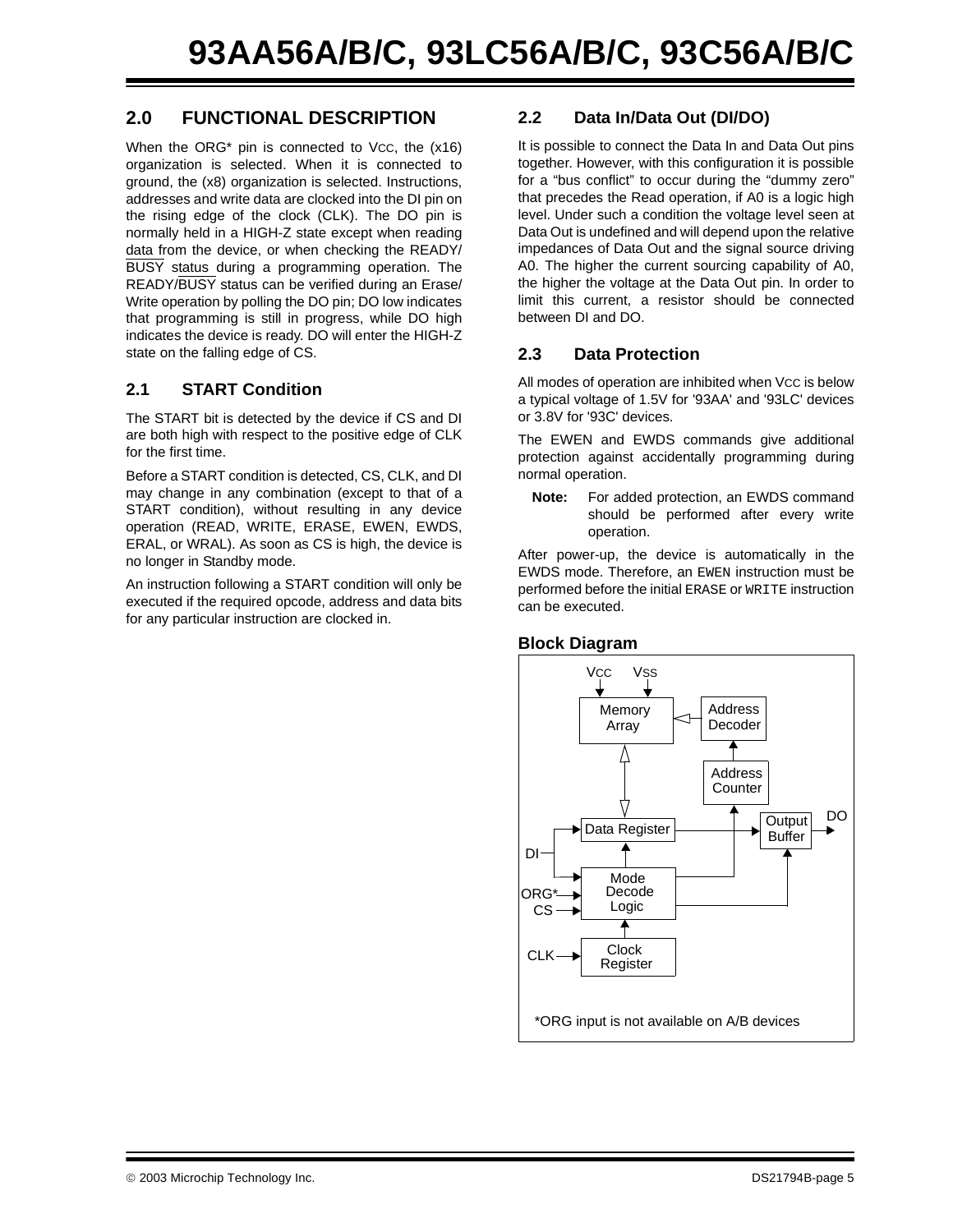## **2.0 FUNCTIONAL DESCRIPTION**

When the  $ORG^*$  pin is connected to Vcc, the  $(x16)$ organization is selected. When it is connected to ground, the (x8) organization is selected. Instructions, addresses and write data are clocked into the DI pin on the rising edge of the clock (CLK). The DO pin is normally held in a HIGH-Z state except when reading data from the device, or when checking the READY/ BUSY status during a programming operation. The READY/BUSY status can be verified during an Erase/ Write operation by polling the DO pin; DO low indicates that programming is still in progress, while DO high indicates the device is ready. DO will enter the HIGH-Z state on the falling edge of CS.

#### **2.1 START Condition**

The START bit is detected by the device if CS and DI are both high with respect to the positive edge of CLK for the first time.

Before a START condition is detected, CS, CLK, and DI may change in any combination (except to that of a START condition), without resulting in any device operation (READ, WRITE, ERASE, EWEN, EWDS, ERAL, or WRAL). As soon as CS is high, the device is no longer in Standby mode.

An instruction following a START condition will only be executed if the required opcode, address and data bits for any particular instruction are clocked in.

#### **2.2 Data In/Data Out (DI/DO)**

It is possible to connect the Data In and Data Out pins together. However, with this configuration it is possible for a "bus conflict" to occur during the "dummy zero" that precedes the Read operation, if A0 is a logic high level. Under such a condition the voltage level seen at Data Out is undefined and will depend upon the relative impedances of Data Out and the signal source driving A0. The higher the current sourcing capability of A0, the higher the voltage at the Data Out pin. In order to limit this current, a resistor should be connected between DI and DO.

#### **2.3 Data Protection**

All modes of operation are inhibited when Vcc is below a typical voltage of 1.5V for '93AA' and '93LC' devices or 3.8V for '93C' devices.

The EWEN and EWDS commands give additional protection against accidentally programming during normal operation.

**Note:** For added protection, an EWDS command should be performed after every write operation.

After power-up, the device is automatically in the EWDS mode. Therefore, an EWEN instruction must be performed before the initial ERASE or WRITE instruction can be executed.

#### **Block Diagram**

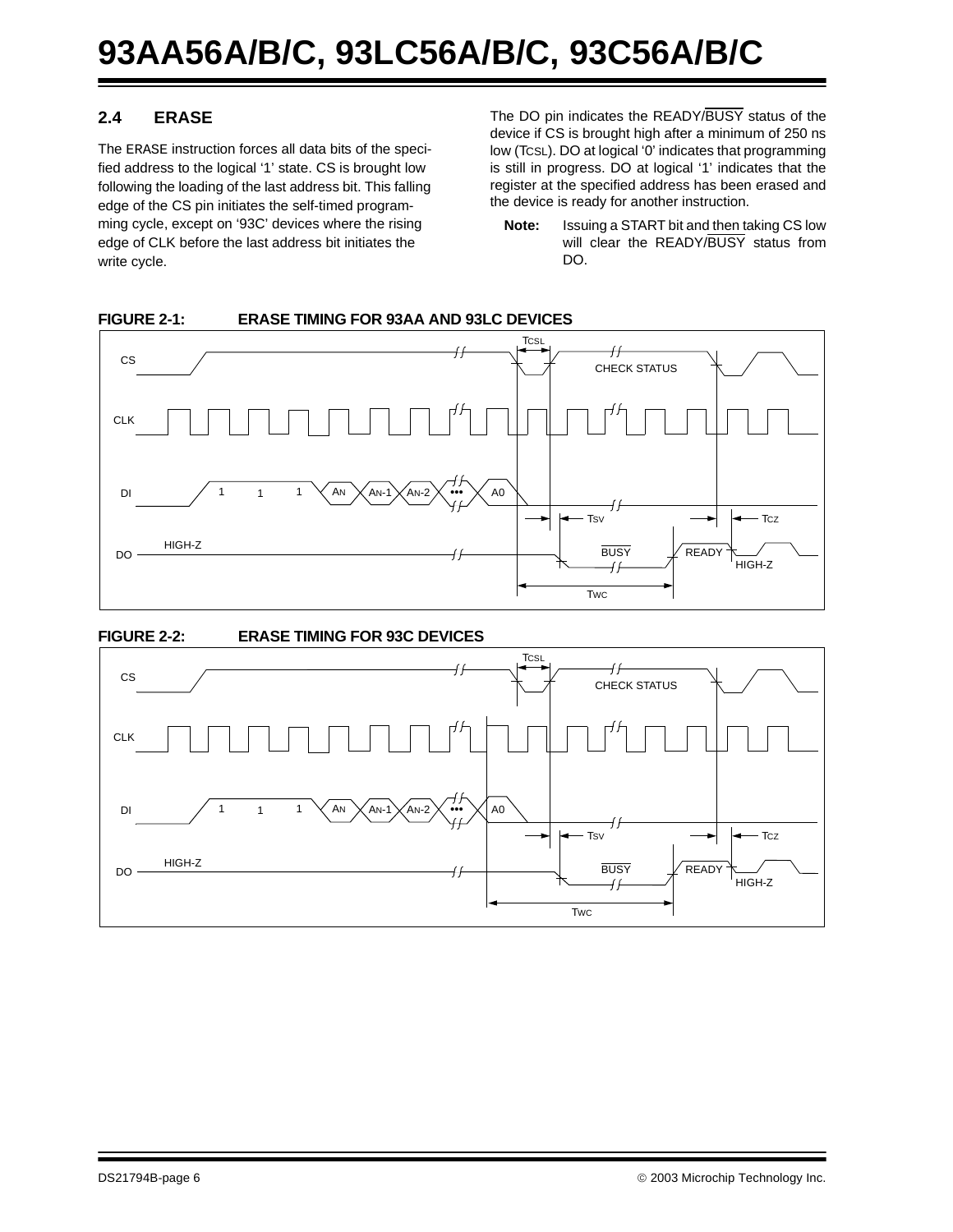## **2.4 ERASE**

The ERASE instruction forces all data bits of the specified address to the logical '1' state. CS is brought low following the loading of the last address bit. This falling edge of the CS pin initiates the self-timed programming cycle, except on '93C' devices where the rising edge of CLK before the last address bit initiates the write cycle.

The DO pin indicates the READY/BUSY status of the device if CS is brought high after a minimum of 250 ns low (TCSL). DO at logical '0' indicates that programming is still in progress. DO at logical '1' indicates that the register at the specified address has been erased and the device is ready for another instruction.

**Note:** Issuing a START bit and then taking CS low will clear the READY/BUSY status from DO.



#### **FIGURE 2-1: ERASE TIMING FOR 93AA AND 93LC DEVICES**

#### **FIGURE 2-2: ERASE TIMING FOR 93C DEVICES**

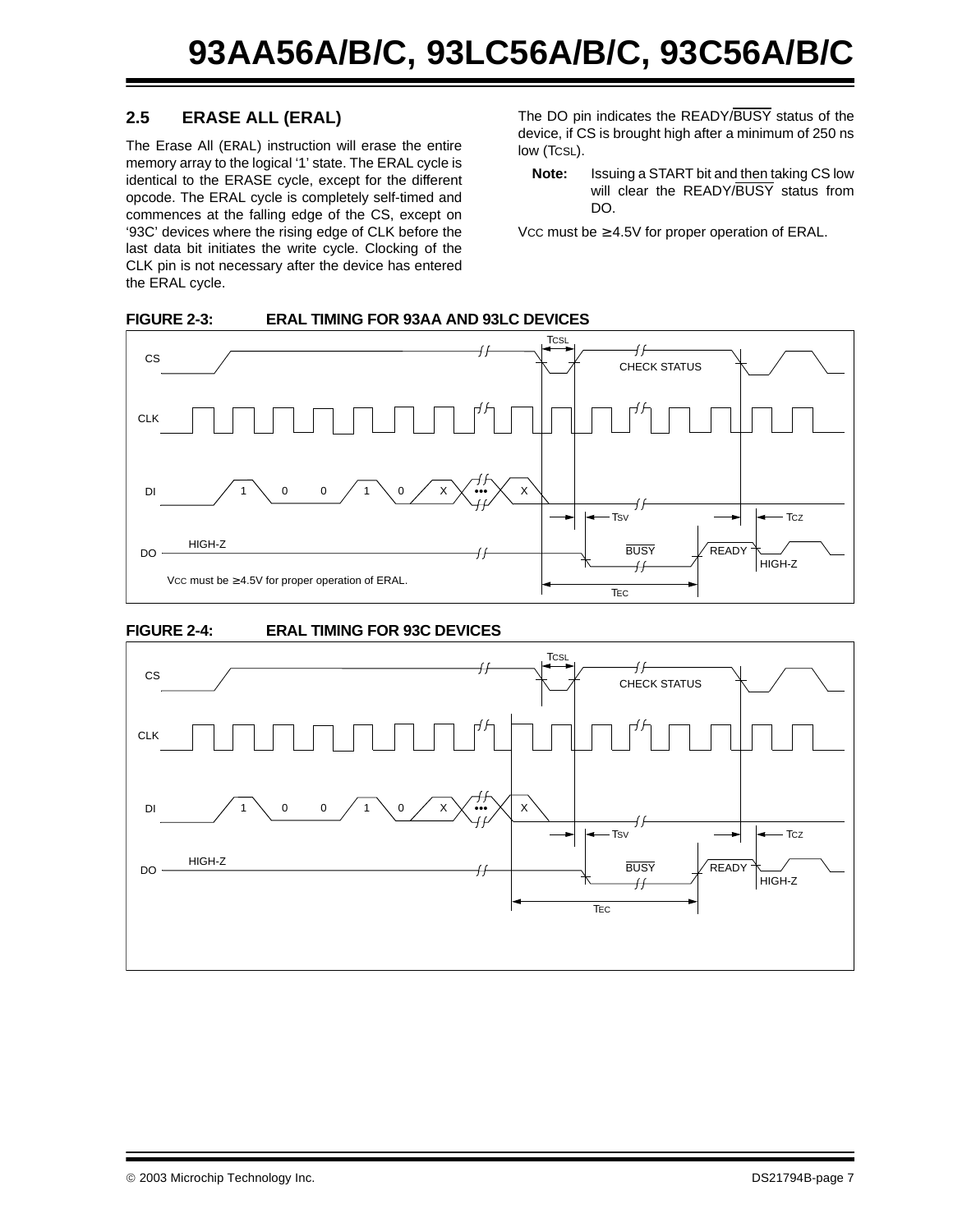### **2.5 ERASE ALL (ERAL)**

The Erase All (ERAL) instruction will erase the entire memory array to the logical '1' state. The ERAL cycle is identical to the ERASE cycle, except for the different opcode. The ERAL cycle is completely self-timed and commences at the falling edge of the CS, except on '93C' devices where the rising edge of CLK before the last data bit initiates the write cycle. Clocking of the CLK pin is not necessary after the device has entered the ERAL cycle.

The DO pin indicates the READY/BUSY status of the device, if CS is brought high after a minimum of 250 ns low (TCSL).

**Note:** Issuing a START bit and then taking CS low will clear the READY/BUSY status from DO.

Vcc must be  $\geq 4.5V$  for proper operation of ERAL.

#### **FIGURE 2-3: ERAL TIMING FOR 93AA AND 93LC DEVICES**





#### **FIGURE 2-4: ERAL TIMING FOR 93C DEVICES**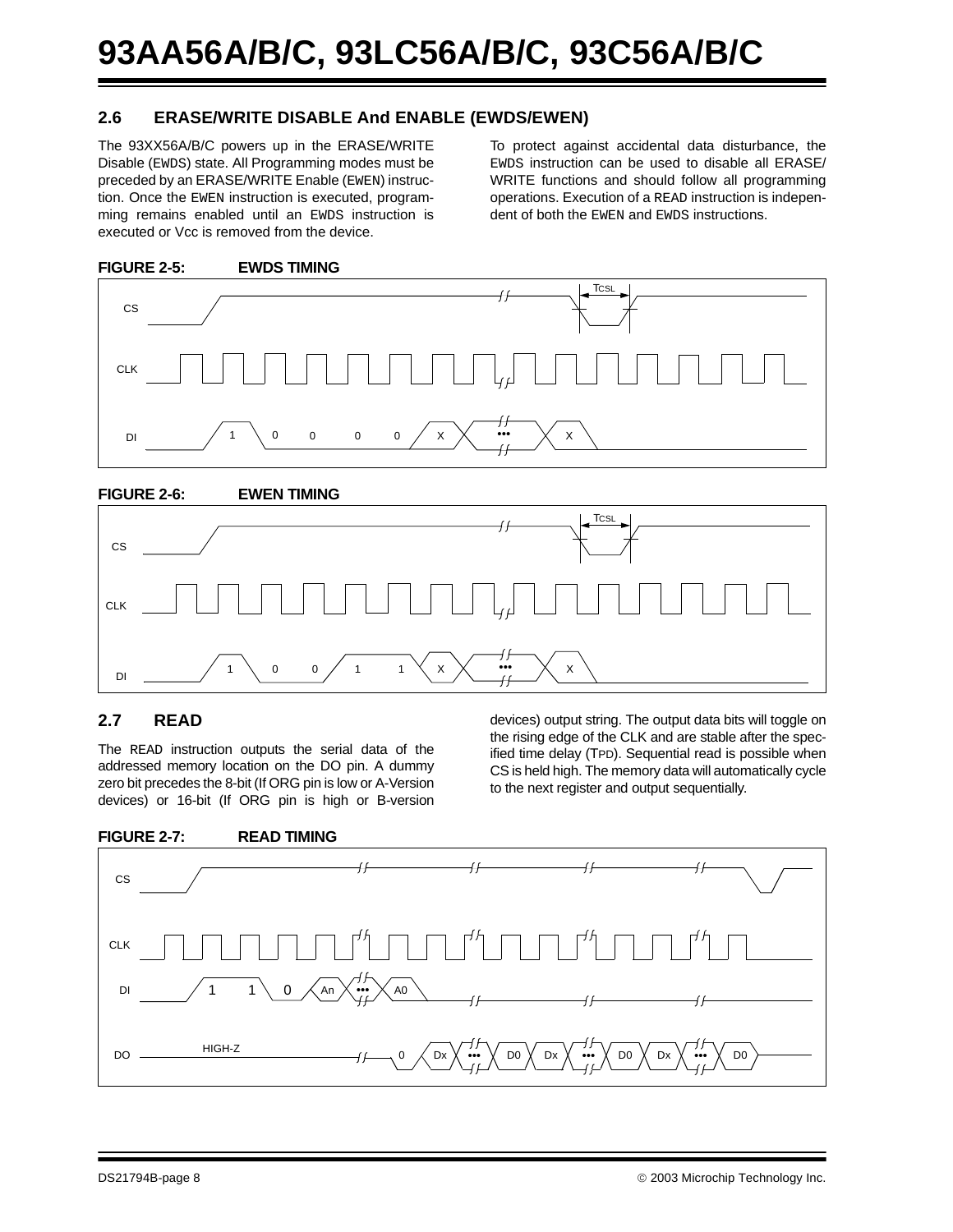#### **2.6 ERASE/WRITE DISABLE And ENABLE (EWDS/EWEN)**

The 93XX56A/B/C powers up in the ERASE/WRITE Disable (EWDS) state. All Programming modes must be preceded by an ERASE/WRITE Enable (EWEN) instruction. Once the EWEN instruction is executed, programming remains enabled until an EWDS instruction is executed or Vcc is removed from the device.

To protect against accidental data disturbance, the EWDS instruction can be used to disable all ERASE/ WRITE functions and should follow all programming operations. Execution of a READ instruction is independent of both the EWEN and EWDS instructions.



#### **FIGURE 2-5: EWDS TIMING**

#### **FIGURE 2-6: EWEN TIMING**



#### **2.7 READ**

The READ instruction outputs the serial data of the addressed memory location on the DO pin. A dummy zero bit precedes the 8-bit (If ORG pin is low or A-Version devices) or 16-bit (If ORG pin is high or B-version

devices) output string. The output data bits will toggle on the rising edge of the CLK and are stable after the specified time delay (TPD). Sequential read is possible when CS is held high. The memory data will automatically cycle to the next register and output sequentially.

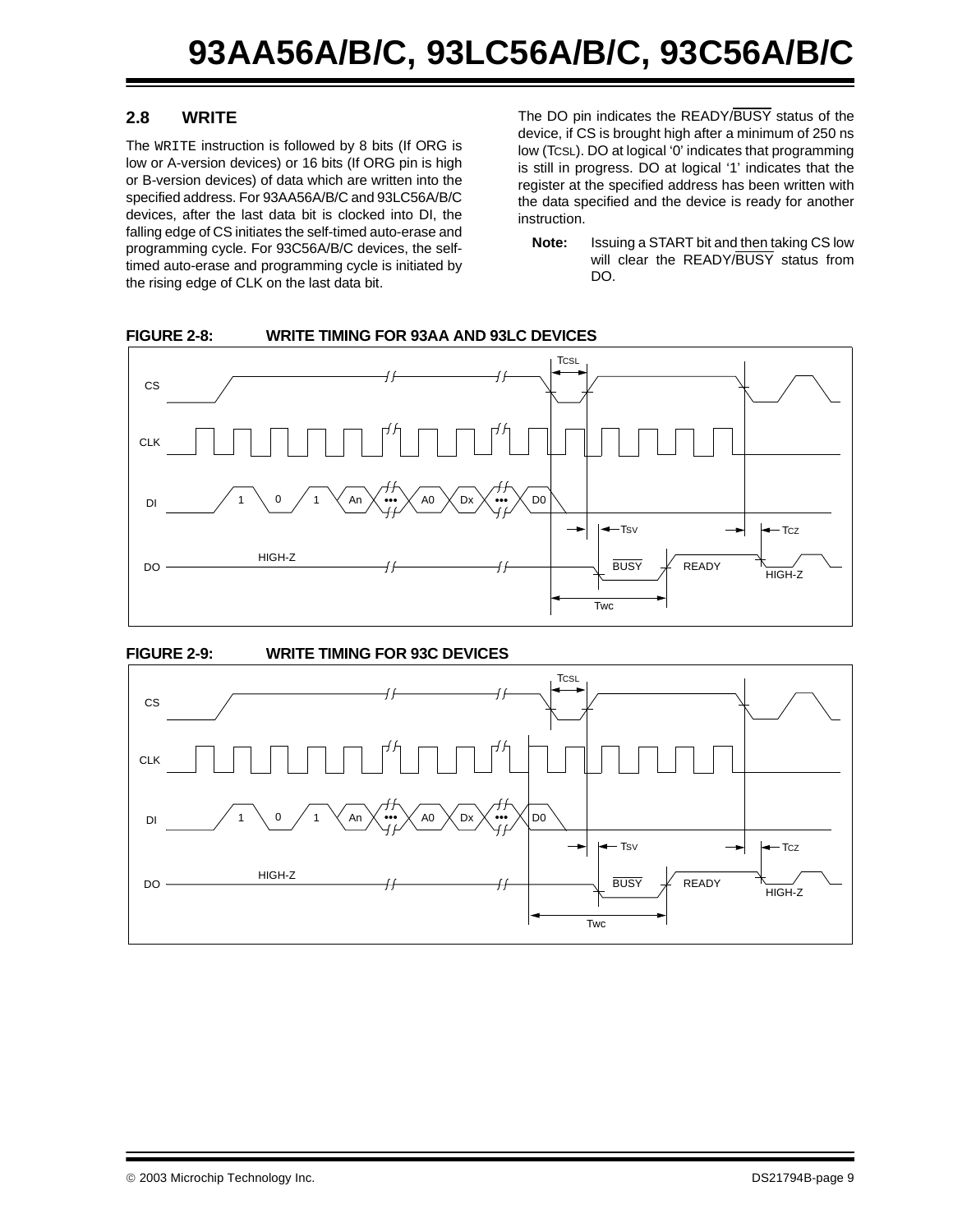#### **2.8 WRITE**

The WRITE instruction is followed by 8 bits (If ORG is low or A-version devices) or 16 bits (If ORG pin is high or B-version devices) of data which are written into the specified address. For 93AA56A/B/C and 93LC56A/B/C devices, after the last data bit is clocked into DI, the falling edge of CS initiates the self-timed auto-erase and programming cycle. For 93C56A/B/C devices, the selftimed auto-erase and programming cycle is initiated by the rising edge of CLK on the last data bit.

The DO pin indicates the READY/BUSY status of the device, if CS is brought high after a minimum of 250 ns low (TCSL). DO at logical '0' indicates that programming is still in progress. DO at logical '1' indicates that the register at the specified address has been written with the data specified and the device is ready for another instruction.

**Note:** Issuing a START bit and then taking CS low will clear the READY/BUSY status from DO.



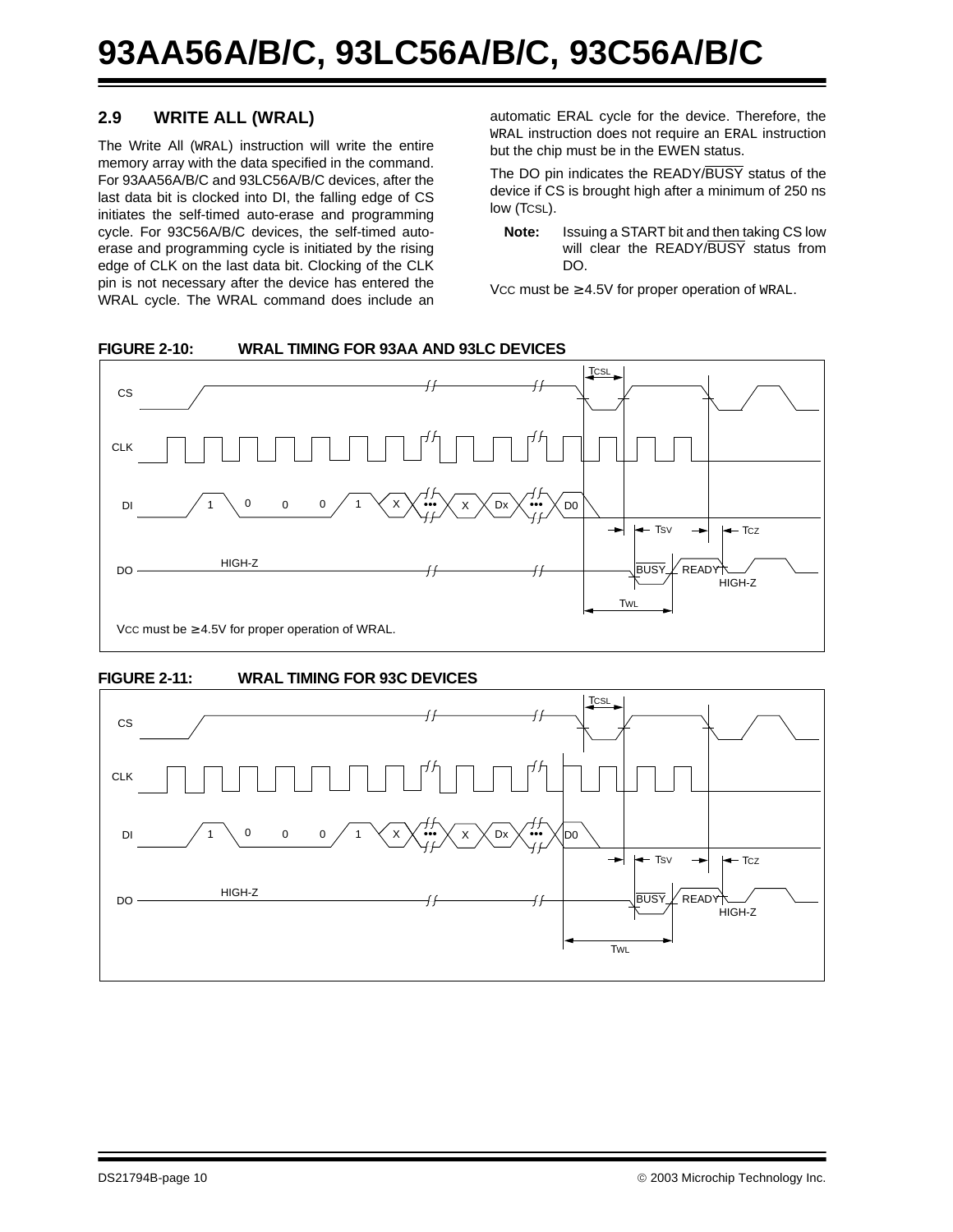### **2.9 WRITE ALL (WRAL)**

The Write All (WRAL) instruction will write the entire memory array with the data specified in the command. For 93AA56A/B/C and 93LC56A/B/C devices, after the last data bit is clocked into DI, the falling edge of CS initiates the self-timed auto-erase and programming cycle. For 93C56A/B/C devices, the self-timed autoerase and programming cycle is initiated by the rising edge of CLK on the last data bit. Clocking of the CLK pin is not necessary after the device has entered the WRAL cycle. The WRAL command does include an automatic ERAL cycle for the device. Therefore, the WRAL instruction does not require an ERAL instruction but the chip must be in the EWEN status.

The DO pin indicates the READY/BUSY status of the device if CS is brought high after a minimum of 250 ns low (TCSL).

**Note:** Issuing a START bit and then taking CS low will clear the READY/BUSY status from DO.

Vcc must be  $\geq 4.5V$  for proper operation of WRAL.

#### **FIGURE 2-10: WRAL TIMING FOR 93AA AND 93LC DEVICES**





#### **FIGURE 2-11: WRAL TIMING FOR 93C DEVICES**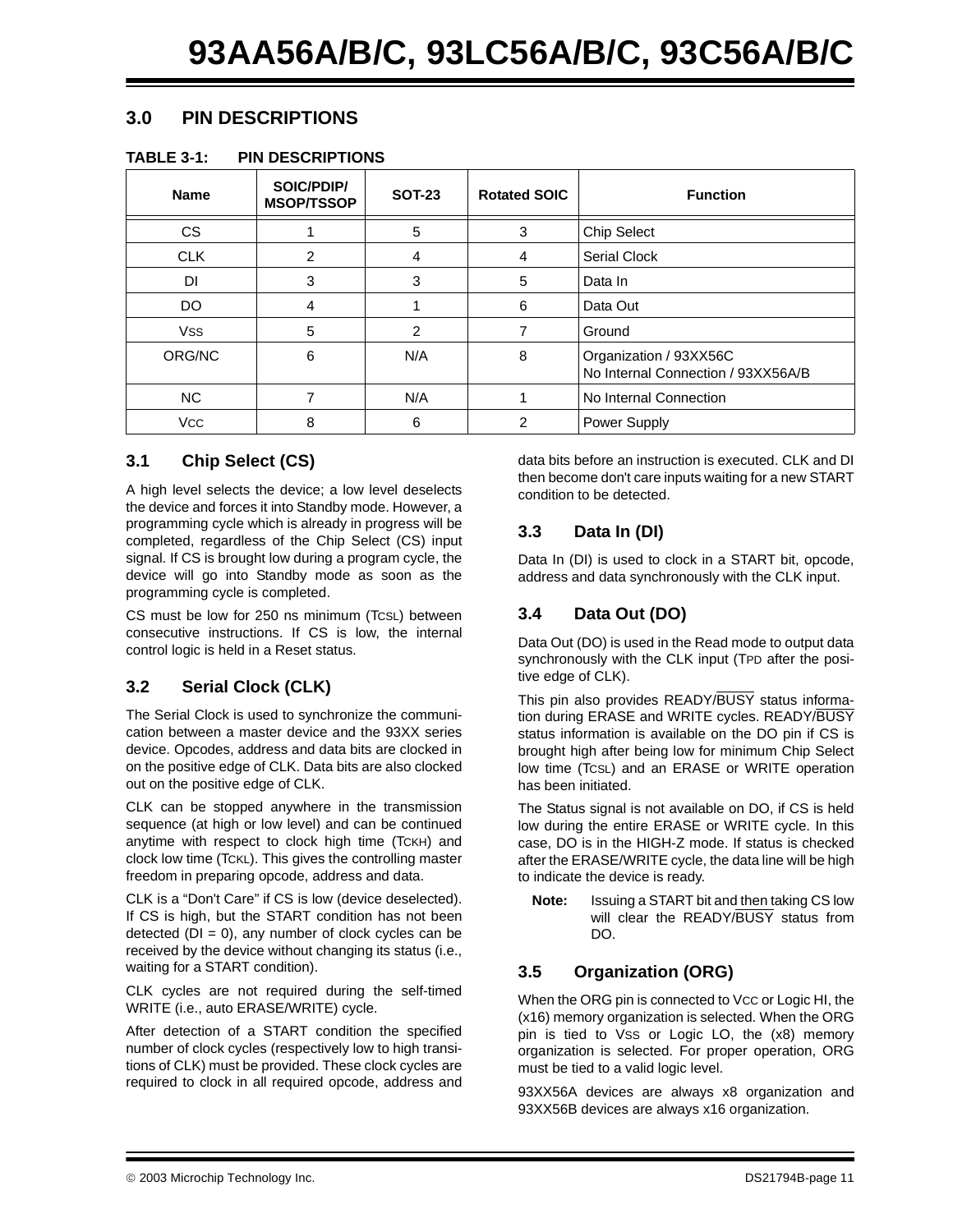### **3.0 PIN DESCRIPTIONS**

#### **TABLE 3-1: PIN DESCRIPTIONS**

| <b>Name</b> | SOIC/PDIP/<br><b>MSOP/TSSOP</b> | <b>SOT-23</b> | <b>Rotated SOIC</b> | <b>Function</b>                                              |
|-------------|---------------------------------|---------------|---------------------|--------------------------------------------------------------|
| <b>CS</b>   |                                 | 5             | 3                   | Chip Select                                                  |
| <b>CLK</b>  | 2                               | 4             | 4                   | <b>Serial Clock</b>                                          |
| DI          | 3                               | 3             | 5                   | Data In                                                      |
| DO          | 4                               |               | 6                   | Data Out                                                     |
| <b>VSS</b>  | 5                               | 2             | 7                   | Ground                                                       |
| ORG/NC      | 6                               | N/A           | 8                   | Organization / 93XX56C<br>No Internal Connection / 93XX56A/B |
| <b>NC</b>   |                                 | N/A           |                     | No Internal Connection                                       |
| <b>VCC</b>  | 8                               | 6             | 2                   | Power Supply                                                 |

#### **3.1 Chip Select (CS)**

A high level selects the device; a low level deselects the device and forces it into Standby mode. However, a programming cycle which is already in progress will be completed, regardless of the Chip Select (CS) input signal. If CS is brought low during a program cycle, the device will go into Standby mode as soon as the programming cycle is completed.

CS must be low for 250 ns minimum (TCSL) between consecutive instructions. If CS is low, the internal control logic is held in a Reset status.

### **3.2 Serial Clock (CLK)**

The Serial Clock is used to synchronize the communication between a master device and the 93XX series device. Opcodes, address and data bits are clocked in on the positive edge of CLK. Data bits are also clocked out on the positive edge of CLK.

CLK can be stopped anywhere in the transmission sequence (at high or low level) and can be continued anytime with respect to clock high time (TCKH) and clock low time (TCKL). This gives the controlling master freedom in preparing opcode, address and data.

CLK is a "Don't Care" if CS is low (device deselected). If CS is high, but the START condition has not been detected  $(DI = 0)$ , any number of clock cycles can be received by the device without changing its status (i.e., waiting for a START condition).

CLK cycles are not required during the self-timed WRITE (i.e., auto ERASE/WRITE) cycle.

After detection of a START condition the specified number of clock cycles (respectively low to high transitions of CLK) must be provided. These clock cycles are required to clock in all required opcode, address and data bits before an instruction is executed. CLK and DI then become don't care inputs waiting for a new START condition to be detected.

#### **3.3 Data In (DI)**

Data In (DI) is used to clock in a START bit, opcode, address and data synchronously with the CLK input.

### <span id="page-10-0"></span>**3.4 Data Out (DO)**

Data Out (DO) is used in the Read mode to output data synchronously with the CLK input (TPD after the positive edge of CLK).

This pin also provides READY/BUSY status information during ERASE and WRITE cycles. READY/BUSY status information is available on the DO pin if CS is brought high after being low for minimum Chip Select low time (TCSL) and an ERASE or WRITE operation has been initiated.

The Status signal is not available on DO, if CS is held low during the entire ERASE or WRITE cycle. In this case, DO is in the HIGH-Z mode. If status is checked after the ERASE/WRITE cycle, the data line will be high to indicate the device is ready.

**Note:** Issuing a START bit and then taking CS low will clear the READY/BUSY status from DO.

### **3.5 Organization (ORG)**

When the ORG pin is connected to Vcc or Logic HI, the (x16) memory organization is selected. When the ORG pin is tied to VSS or Logic LO, the (x8) memory organization is selected. For proper operation, ORG must be tied to a valid logic level.

93XX56A devices are always x8 organization and 93XX56B devices are always x16 organization.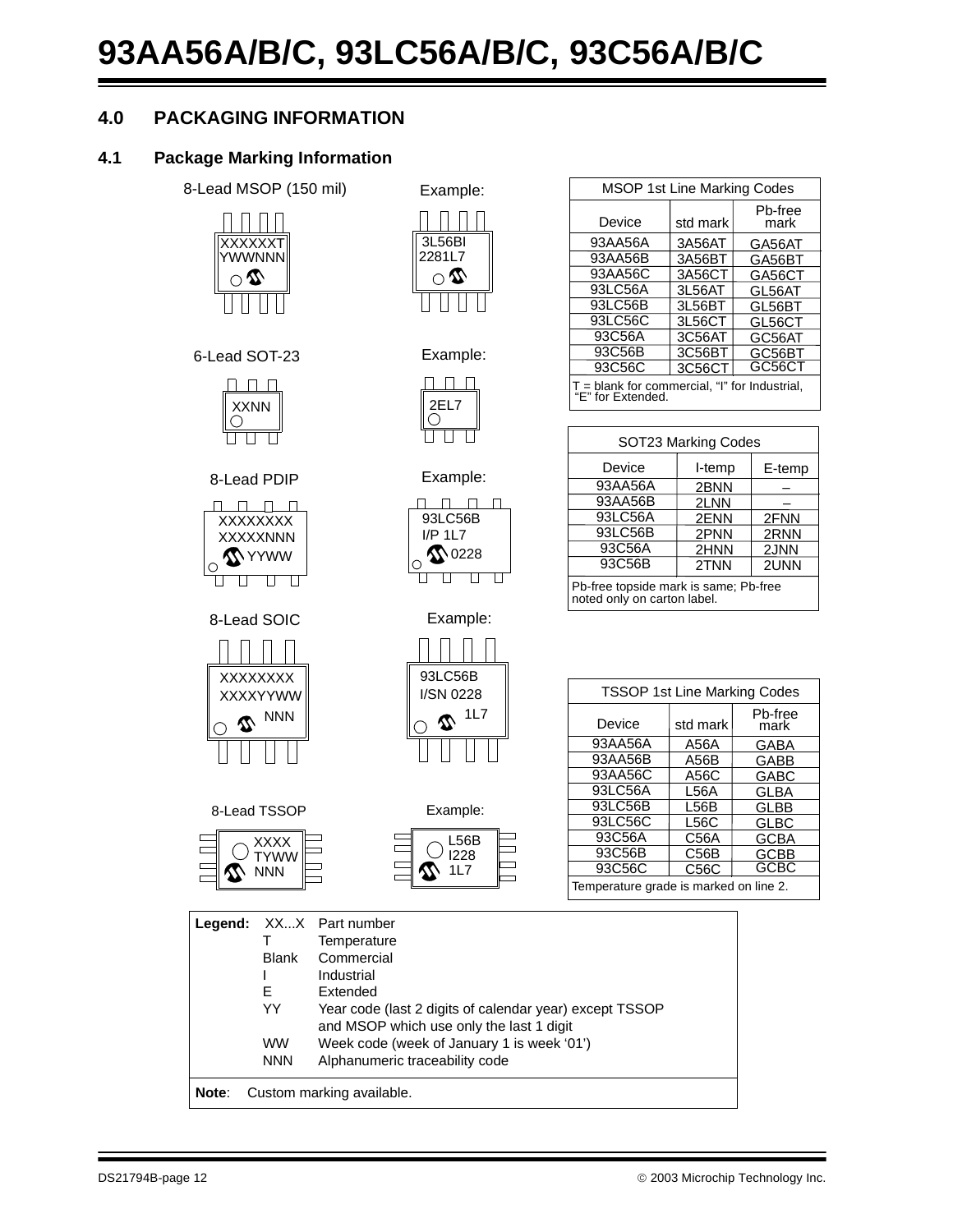## **4.0 PACKAGING INFORMATION**

#### **4.1 Package Marking Information**



XXXXXNNN XXXXXXXX

<u>nnnn</u>

8-Lead PDIP

 $\mathbf{1}$  $\perp$  $\perp$ 

 $\Box$   $\Box$   $\Box$ 

**X**YYWW

U U U U

8-Lead SOIC

XXXXYYWW XXXXXXXX

 $\subseteq \mathbf{\Omega}$  NNN

**W** NNN

8-Lead TSSOP

XXXX **TYWW** 

 $\Box$ 

 $\overline{\phantom{0}}$ 



6-Lead SOT-23 Example:



| <b>MSOP 1st Line Marking Codes</b>                                   |          |                 |  |  |  |  |  |
|----------------------------------------------------------------------|----------|-----------------|--|--|--|--|--|
| Device                                                               | std mark | Pb-free<br>mark |  |  |  |  |  |
| 93AA56A                                                              | 3A56AT   | GA56AT          |  |  |  |  |  |
| 93AA56B                                                              | 3A56BT   | GA56BT          |  |  |  |  |  |
| 93AA56C                                                              | 3A56CT   | GA56CT          |  |  |  |  |  |
| 93LC56A                                                              | 3L56AT   | GL56AT          |  |  |  |  |  |
| 93LC56B                                                              | 3L56BT   | GL56BT          |  |  |  |  |  |
| 93LC56C                                                              | 3L56CT   | GL56CT          |  |  |  |  |  |
| 93C56A                                                               | 3C56AT   | GC56AT          |  |  |  |  |  |
| 93C56B                                                               | 3C56BT   | GC56BT          |  |  |  |  |  |
| 93C56C                                                               | 3C56CT   | GC56CT          |  |  |  |  |  |
| $T =$ blank for commercial, "I" for Industrial,<br>"E" for Extended. |          |                 |  |  |  |  |  |

| SOT23 Marking Codes                                                  |        |        |  |  |  |  |  |
|----------------------------------------------------------------------|--------|--------|--|--|--|--|--|
| Device                                                               | I-temp | E-temp |  |  |  |  |  |
| 93AA56A                                                              | 2BNN   |        |  |  |  |  |  |
| 93AA56B                                                              | 2LNN   |        |  |  |  |  |  |
| 93LC56A                                                              | 2ENN   | 2FNN   |  |  |  |  |  |
| 93LC56B                                                              | 2PNN   | 2RNN   |  |  |  |  |  |
| 93C56A                                                               | 2HNN   | 2JNN   |  |  |  |  |  |
| 93C56B<br>2TNN<br>2UNN                                               |        |        |  |  |  |  |  |
| Pb-free topside mark is same; Pb-free<br>noted only on carton label. |        |        |  |  |  |  |  |

<u>nn nn</u> 93LC56B



Example:

Example:

| 93LC56B<br>I/SN 0228 |
|----------------------|
| 1L7                  |
|                      |

| <b>TSSOP 1st Line Marking Codes</b>    |          |                 |  |  |  |  |  |
|----------------------------------------|----------|-----------------|--|--|--|--|--|
| Device                                 | std mark | Pb-free<br>mark |  |  |  |  |  |
| 93AA56A                                | A56A     | GABA            |  |  |  |  |  |
| 93AA56B                                | A56B     | GABB            |  |  |  |  |  |
| 93AA56C                                | A56C     | GABC            |  |  |  |  |  |
| 93LC56A                                | L56A     | <b>GLBA</b>     |  |  |  |  |  |
| 93LC56B                                | L56B     | <b>GLBB</b>     |  |  |  |  |  |
| 93LC56C                                | L56C     | GLBC            |  |  |  |  |  |
| 93C56A                                 | C56A     | GCBA            |  |  |  |  |  |
| 93C56B                                 | C56B     | GCBB            |  |  |  |  |  |
| 93C56C                                 | C56C     | GCBC            |  |  |  |  |  |
| Temperature grade is marked on line 2. |          |                 |  |  |  |  |  |

|       |            | <b>Legend:</b> XXX Part number<br>Temperature                                                       |
|-------|------------|-----------------------------------------------------------------------------------------------------|
|       | Blank      | Commercial                                                                                          |
|       |            | Industrial                                                                                          |
|       | Е          | Extended                                                                                            |
|       | YY         | Year code (last 2 digits of calendar year) except TSSOP<br>and MSOP which use only the last 1 digit |
|       | <b>WW</b>  | Week code (week of January 1 is week '01')                                                          |
|       | <b>NNN</b> | Alphanumeric traceability code                                                                      |
| Note: |            | Custom marking available.                                                                           |

**1L7** 

L56B I228

 $\Box$ 

 $\overline{\phantom{0}}$ 

٦

Example: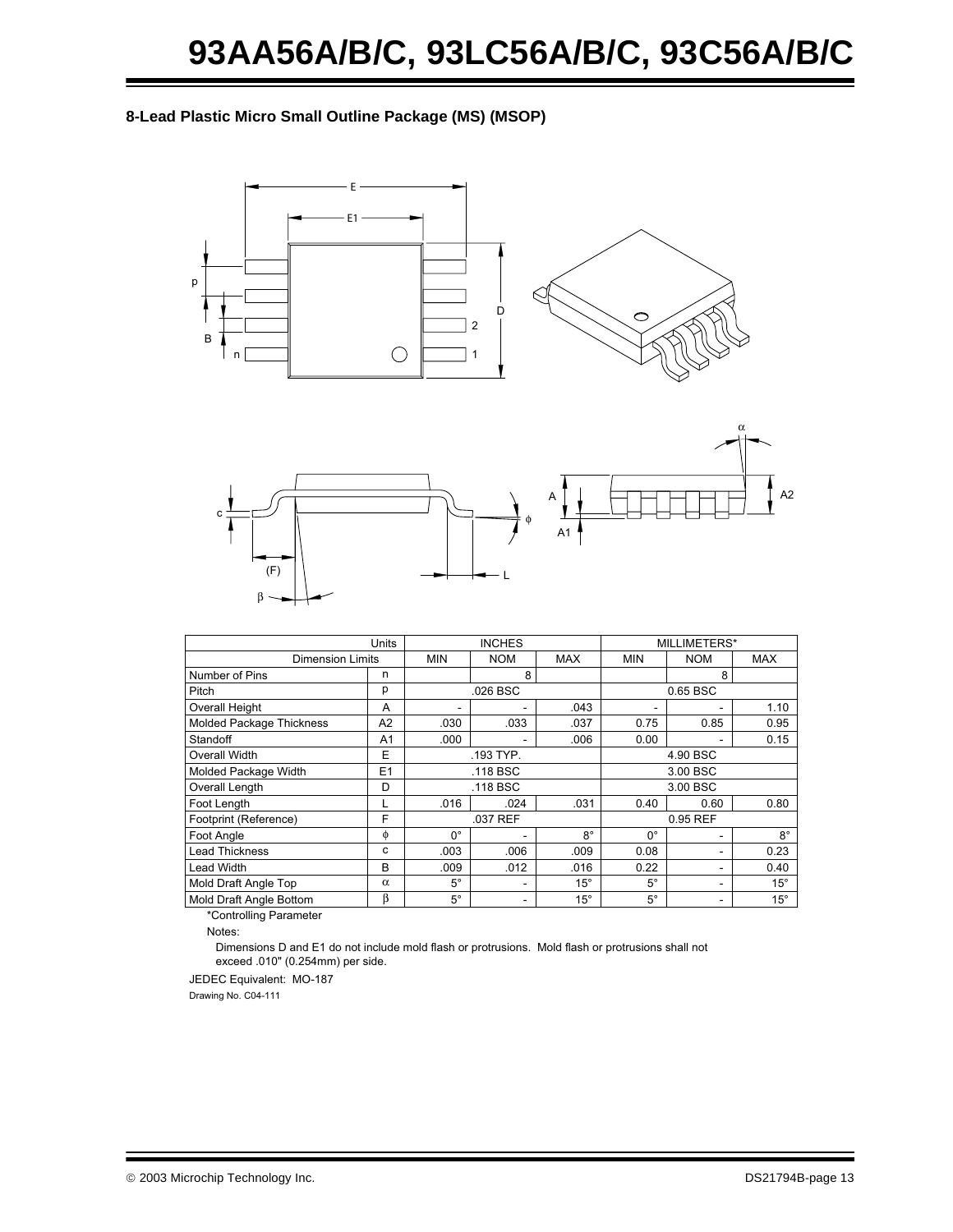#### **8-Lead Plastic Micro Small Outline Package (MS) (MSOP)**





|                          | Units                   |             | <b>INCHES</b> |              | MILLIMETERS* |            |              |  |
|--------------------------|-------------------------|-------------|---------------|--------------|--------------|------------|--------------|--|
|                          | <b>Dimension Limits</b> |             |               | <b>MAX</b>   | MIN          | <b>NOM</b> | <b>MAX</b>   |  |
| Number of Pins           | n                       |             | 8             |              |              | 8          |              |  |
| Pitch                    | р                       |             | .026 BSC      |              |              | 0.65 BSC   |              |  |
| Overall Height           | A                       |             |               | .043         |              |            | 1.10         |  |
| Molded Package Thickness | A <sub>2</sub>          | .030        | .033          | .037         | 0.75         | 0.85       | 0.95         |  |
| Standoff                 | A1                      | .000        |               | .006         | 0.00         |            | 0.15         |  |
| Overall Width            | E                       |             | .193 TYP.     |              | 4.90 BSC     |            |              |  |
| Molded Package Width     | E1                      |             | .118 BSC      |              |              | 3.00 BSC   |              |  |
| Overall Length           | D                       |             | .118 BSC      |              | 3.00 BSC     |            |              |  |
| Foot Length              | L                       | .016        | .024          | .031         | 0.40         | 0.60       | 0.80         |  |
| Footprint (Reference)    | F                       |             | .037 REF      |              | 0.95 REF     |            |              |  |
| Foot Angle               | φ                       | $0^{\circ}$ |               | 8°           | $0^{\circ}$  |            | $8^{\circ}$  |  |
| <b>Lead Thickness</b>    | с                       | .003        | .006          | .009         | 0.08         | ۰          | 0.23         |  |
| Lead Width               | B                       | .009        | .012          | .016         | 0.22         |            | 0.40         |  |
| Mold Draft Angle Top     | $\alpha$                | $5^\circ$   |               | $15^{\circ}$ | $5^\circ$    |            | $15^{\circ}$ |  |
| Mold Draft Angle Bottom  | β                       | $5^{\circ}$ | -             | $15^{\circ}$ | $5^{\circ}$  | -          | $15^{\circ}$ |  |

\*Controlling Parameter

Notes:

Dimensions D and E1 do not include mold flash or protrusions. Mold flash or protrusions shall not exceed .010" (0.254mm) per side.

JEDEC Equivalent: MO-187

Drawing No. C04-111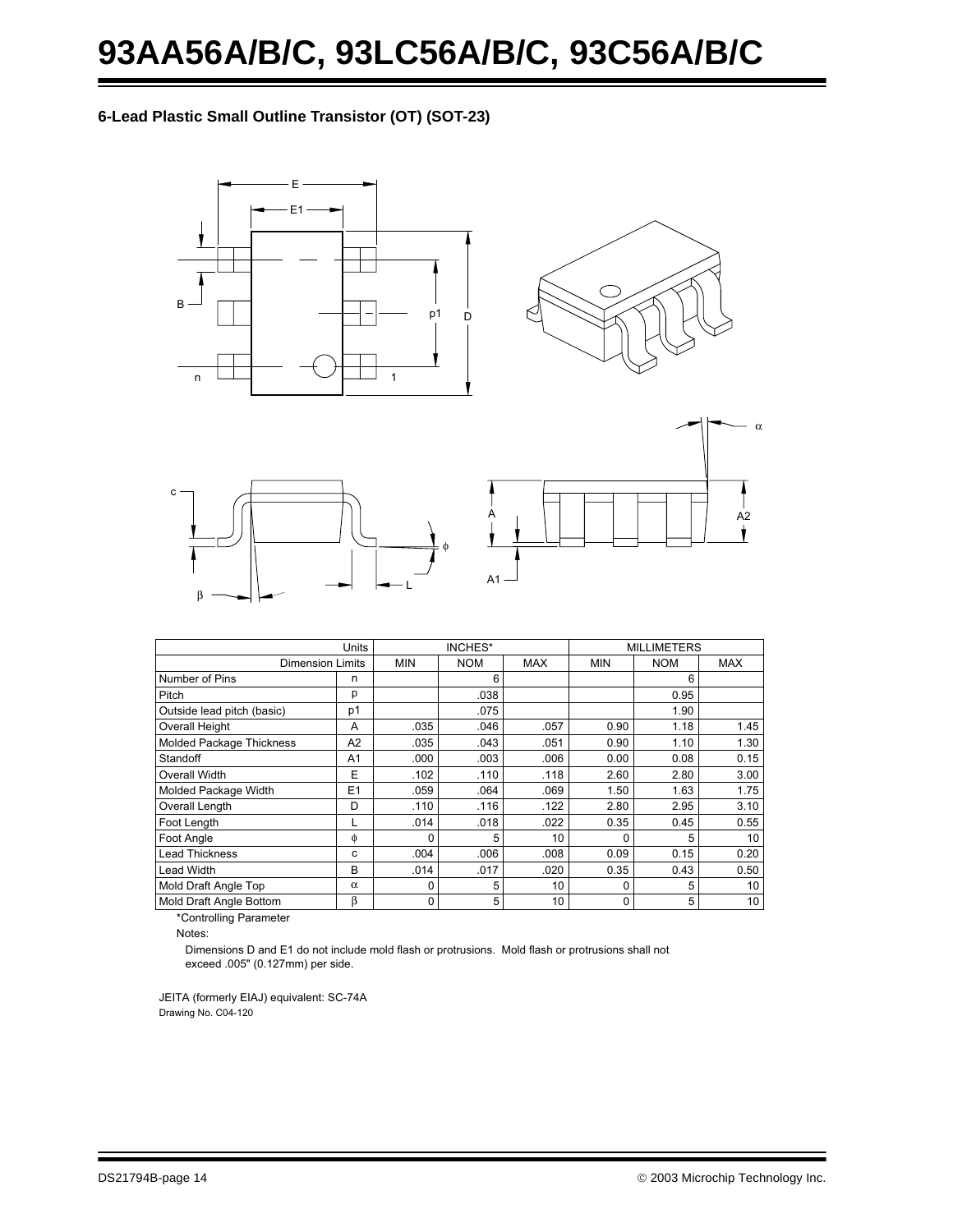**6-Lead Plastic Small Outline Transistor (OT) (SOT-23)**









|                                 | <b>Units</b>   |            | <b>INCHES*</b> |            |            | <b>MILLIMETERS</b> |      |
|---------------------------------|----------------|------------|----------------|------------|------------|--------------------|------|
| <b>Dimension Limits</b>         |                | <b>MIN</b> | <b>NOM</b>     | <b>MAX</b> | <b>MIN</b> | <b>NOM</b>         | MAX  |
| Number of Pins                  | n              |            | 6              |            |            | 6                  |      |
| Pitch                           | р              |            | .038           |            |            | 0.95               |      |
| Outside lead pitch (basic)      | p1             |            | .075           |            |            | 1.90               |      |
| <b>Overall Height</b>           | A              | .035       | .046           | .057       | 0.90       | 1.18               | 1.45 |
| <b>Molded Package Thickness</b> | A2             | .035       | .043           | .051       | 0.90       | 1.10               | 1.30 |
| Standoff                        | A1             | .000       | .003           | .006       | 0.00       | 0.08               | 0.15 |
| Overall Width                   | E              | .102       | .110           | .118       | 2.60       | 2.80               | 3.00 |
| Molded Package Width            | E <sub>1</sub> | .059       | .064           | .069       | 1.50       | 1.63               | 1.75 |
| Overall Length                  | D              | .110       | .116           | .122       | 2.80       | 2.95               | 3.10 |
| Foot Length                     | L              | .014       | .018           | .022       | 0.35       | 0.45               | 0.55 |
| Foot Angle                      | φ              | $\Omega$   | 5              | 10         | 0          | 5                  | 10   |
| <b>Lead Thickness</b>           | c              | .004       | .006           | .008       | 0.09       | 0.15               | 0.20 |
| <b>Lead Width</b>               | в              | .014       | .017           | .020       | 0.35       | 0.43               | 0.50 |
| Mold Draft Angle Top            | $\alpha$       |            | 5              | 10         | 0          | 5                  | 10   |
| Mold Draft Angle Bottom         | β              | $\Omega$   | 5              | 10         | 0          | 5                  | 10   |

\*Controlling Parameter

Notes:

exceed .005" (0.127mm) per side. Dimensions D and E1 do not include mold flash or protrusions. Mold flash or protrusions shall not

JEITA (formerly EIAJ) equivalent: SC-74A Drawing No. C04-120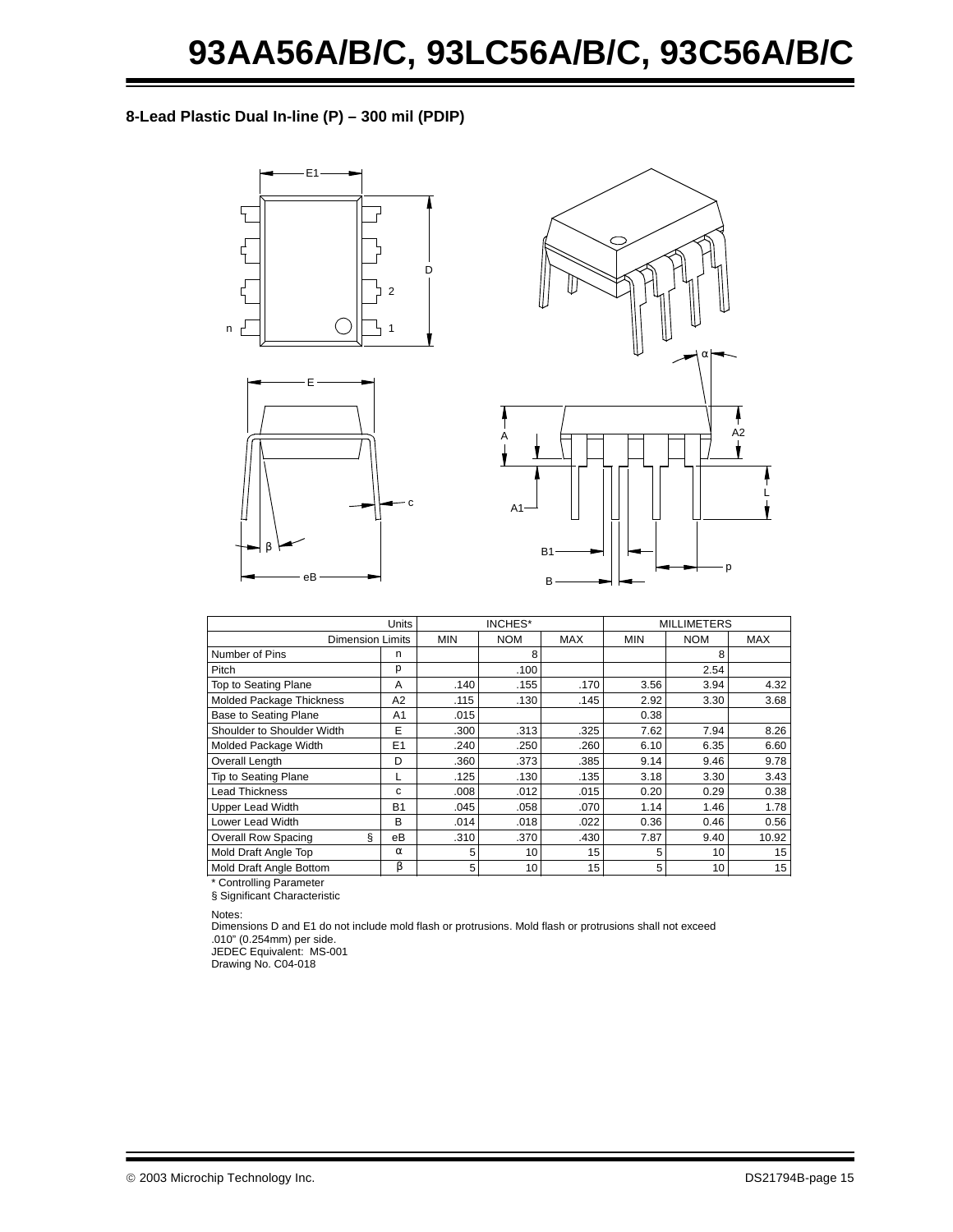**8-Lead Plastic Dual In-line (P) – 300 mil (PDIP)**







|                                 | Units          | INCHES*    |            |            | <b>MILLIMETERS</b> |            |                 |
|---------------------------------|----------------|------------|------------|------------|--------------------|------------|-----------------|
| <b>Dimension Limits</b>         |                | <b>MIN</b> | <b>NOM</b> | <b>MAX</b> | <b>MIN</b>         | <b>NOM</b> | <b>MAX</b>      |
| Number of Pins                  | n              |            | 8          |            |                    | 8          |                 |
| Pitch                           | р              |            | .100       |            |                    | 2.54       |                 |
| Top to Seating Plane            | A              | .140       | .155       | .170       | 3.56               | 3.94       | 4.32            |
| Molded Package Thickness        | A <sub>2</sub> | .115       | .130       | .145       | 2.92               | 3.30       | 3.68            |
| Base to Seating Plane           | A <sub>1</sub> | .015       |            |            | 0.38               |            |                 |
| Shoulder to Shoulder Width      | E              | .300       | .313       | .325       | 7.62               | 7.94       | 8.26            |
| Molded Package Width            | E1             | .240       | .250       | .260       | 6.10               | 6.35       | 6.60            |
| Overall Length                  | D              | .360       | .373       | .385       | 9.14               | 9.46       | 9.78            |
| Tip to Seating Plane            |                | .125       | .130       | .135       | 3.18               | 3.30       | 3.43            |
| <b>Lead Thickness</b>           | c              | .008       | .012       | .015       | 0.20               | 0.29       | 0.38            |
| <b>Upper Lead Width</b>         | <b>B1</b>      | .045       | .058       | .070       | 1.14               | 1.46       | 1.78            |
| Lower Lead Width                | B              | .014       | .018       | .022       | 0.36               | 0.46       | 0.56            |
| ş<br><b>Overall Row Spacing</b> | eB             | .310       | .370       | .430       | 7.87               | 9.40       | 10.92           |
| Mold Draft Angle Top            | $\alpha$       | 5          | 10         | 15         | 5                  | 10         | 15              |
| Mold Draft Angle Bottom         | β              | 5          | 10         | 15         | 5                  | 10         | 15 <sup>1</sup> |

Controlling Parameter § Significant Characteristic

Notes:

Dimensions D and E1 do not include mold flash or protrusions. Mold flash or protrusions shall not exceed .010" (0.254mm) per side.

JEDEC Equivalent: MS-001

Drawing No. C04-018

2003 Microchip Technology Inc. DS21794B-page 15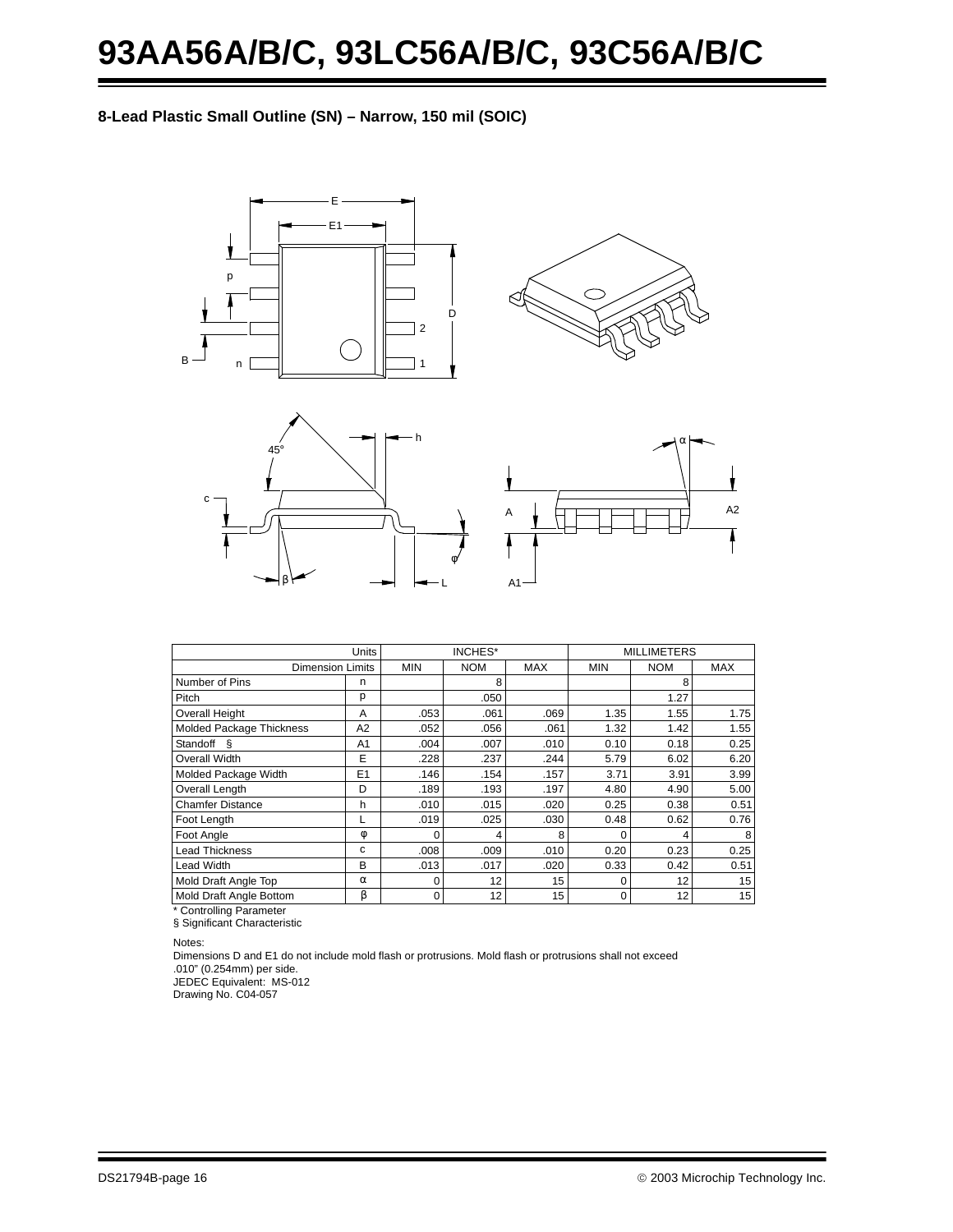# **93AA56A/B/C, 93LC56A/B/C, 93C56A/B/C**

#### **8-Lead Plastic Small Outline (SN) – Narrow, 150 mil (SOIC)**









| <b>Units</b>   | INCHES*                  |      |            | <b>MILLIMETERS</b> |            |            |  |
|----------------|--------------------------|------|------------|--------------------|------------|------------|--|
|                | <b>NOM</b><br><b>MIN</b> |      | <b>MAX</b> | <b>MIN</b>         | <b>NOM</b> | <b>MAX</b> |  |
| n              |                          | 8    |            |                    | 8          |            |  |
| р              |                          | .050 |            |                    | 1.27       |            |  |
| A              | .053                     | .061 | .069       | 1.35               | 1.55       | 1.75       |  |
| A <sub>2</sub> | .052                     | .056 | .061       | 1.32               | 1.42       | 1.55       |  |
| A1             | .004                     | .007 | .010       | 0.10               | 0.18       | 0.25       |  |
| E              | .228                     | .237 | .244       | 5.79               | 6.02       | 6.20       |  |
| E <sub>1</sub> | .146                     | .154 | .157       | 3.71               | 3.91       | 3.99       |  |
| D              | .189                     | .193 | .197       | 4.80               | 4.90       | 5.00       |  |
| h              | .010                     | .015 | .020       | 0.25               | 0.38       | 0.51       |  |
|                | .019                     | .025 | .030       | 0.48               | 0.62       | 0.76       |  |
| φ              |                          |      | 8          | $\Omega$           | Δ          |            |  |
| c              | .008                     | .009 | .010       | 0.20               | 0.23       | 0.25       |  |
| B              | .013                     | .017 | .020       | 0.33               | 0.42       | 0.51       |  |
| $\alpha$       |                          | 12   | 15         | $\Omega$           | 12         | 15         |  |
| β              | 0                        | 12   | 15         | $\mathbf 0$        | 12         | 15         |  |
|                | <b>Dimension Limits</b>  |      |            |                    |            |            |  |

\* Controlling Parameter

§ Significant Characteristic

Notes:

Dimensions D and E1 do not include mold flash or protrusions. Mold flash or protrusions shall not exceed .010" (0.254mm) per side.

JEDEC Equivalent: MS-012 Drawing No. C04-057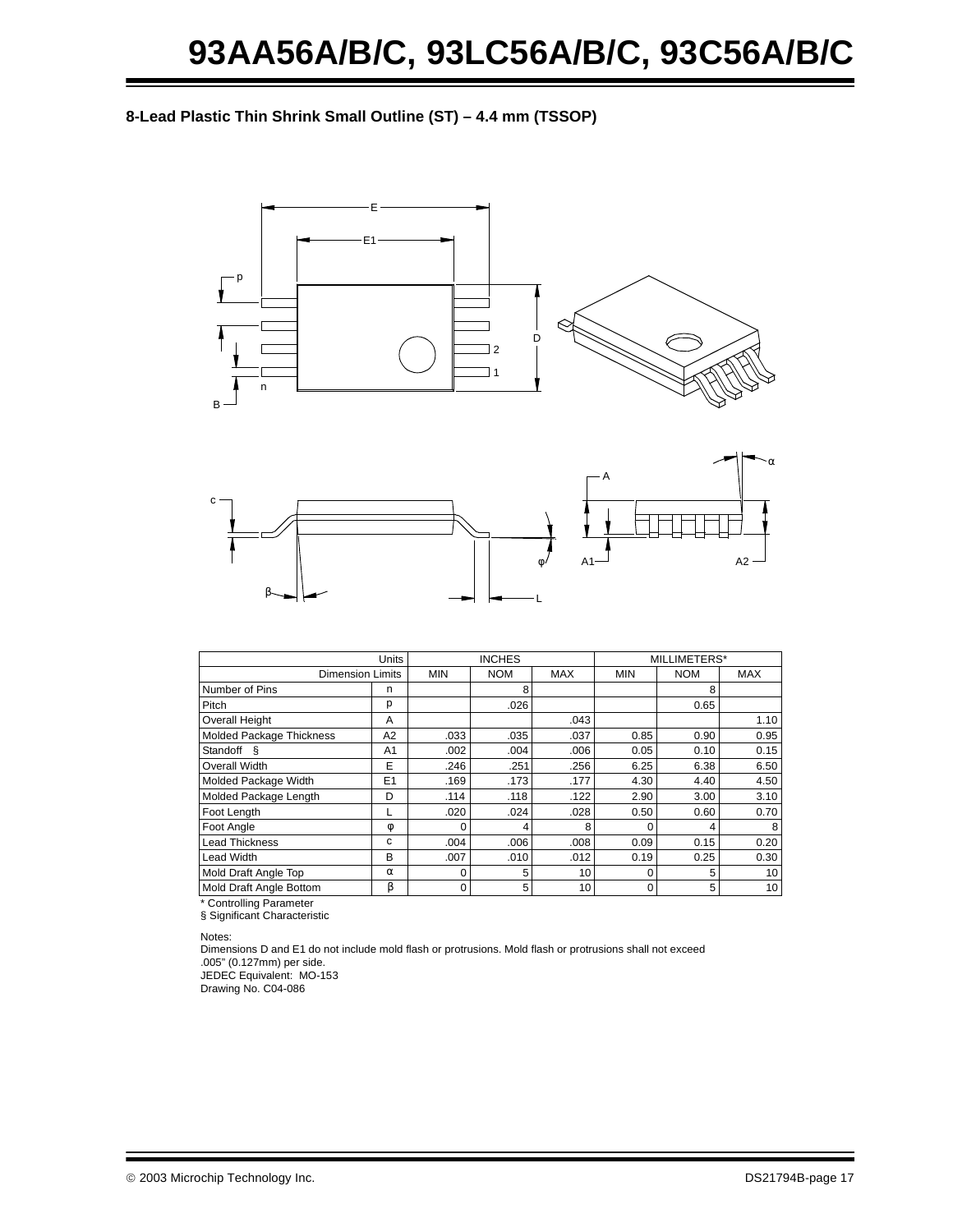#### **8-Lead Plastic Thin Shrink Small Outline (ST) – 4.4 mm (TSSOP)**





|                          |                | <b>INCHES</b> |            | MILLIMETERS* |            |            |                 |
|--------------------------|----------------|---------------|------------|--------------|------------|------------|-----------------|
| <b>Dimension Limits</b>  |                | <b>MIN</b>    | <b>NOM</b> | <b>MAX</b>   | <b>MIN</b> | <b>NOM</b> | <b>MAX</b>      |
| Number of Pins           | n              |               | 8          |              |            | 8          |                 |
| Pitch                    | p              |               | .026       |              |            | 0.65       |                 |
| <b>Overall Height</b>    | A              |               |            | .043         |            |            | 1.10            |
| Molded Package Thickness | A2             | .033          | .035       | .037         | 0.85       | 0.90       | 0.95            |
| Standoff<br>ιş           | A <sub>1</sub> | .002          | .004       | .006         | 0.05       | 0.10       | 0.15            |
| Overall Width            | E              | .246          | .251       | .256         | 6.25       | 6.38       | 6.50            |
| Molded Package Width     | E1             | .169          | .173       | .177         | 4.30       | 4.40       | 4.50            |
| Molded Package Length    | D              | .114          | .118       | .122         | 2.90       | 3.00       | 3.10            |
| Foot Length              |                | .020          | .024       | .028         | 0.50       | 0.60       | 0.70            |
| Foot Angle               | φ              |               | 4          | 8            |            |            | 8               |
| <b>Lead Thickness</b>    | c              | .004          | .006       | .008         | 0.09       | 0.15       | 0.20            |
| <b>Lead Width</b>        | B              | .007          | .010       | .012         | 0.19       | 0.25       | 0.30            |
| Mold Draft Angle Top     | $\alpha$       | 0             | 5          | 10           |            | 5          | 10              |
| Mold Draft Angle Bottom  | β              | $\Omega$      | 5          | 10           | $\Omega$   | 5          | 10 <sup>1</sup> |

\* Controlling Parameter

§ Significant Characteristic

Notes:

Dimensions D and E1 do not include mold flash or protrusions. Mold flash or protrusions shall not exceed .005" (0.127mm) per side. JEDEC Equivalent: MO-153

Drawing No. C04-086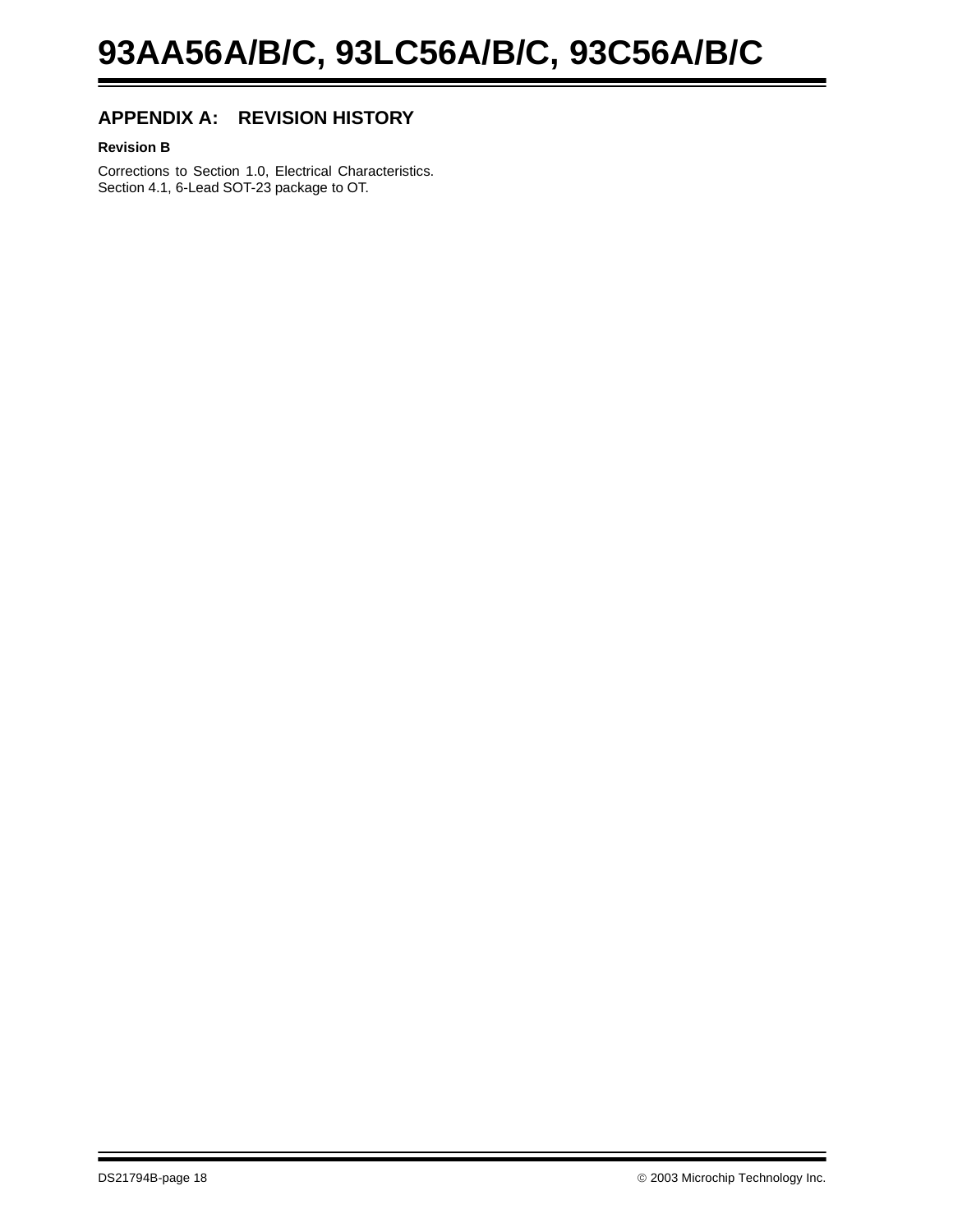## **APPENDIX A: REVISION HISTORY**

#### **Revision B**

Corrections to Section 1.0, Electrical Characteristics. Section 4.1, 6-Lead SOT-23 package to OT.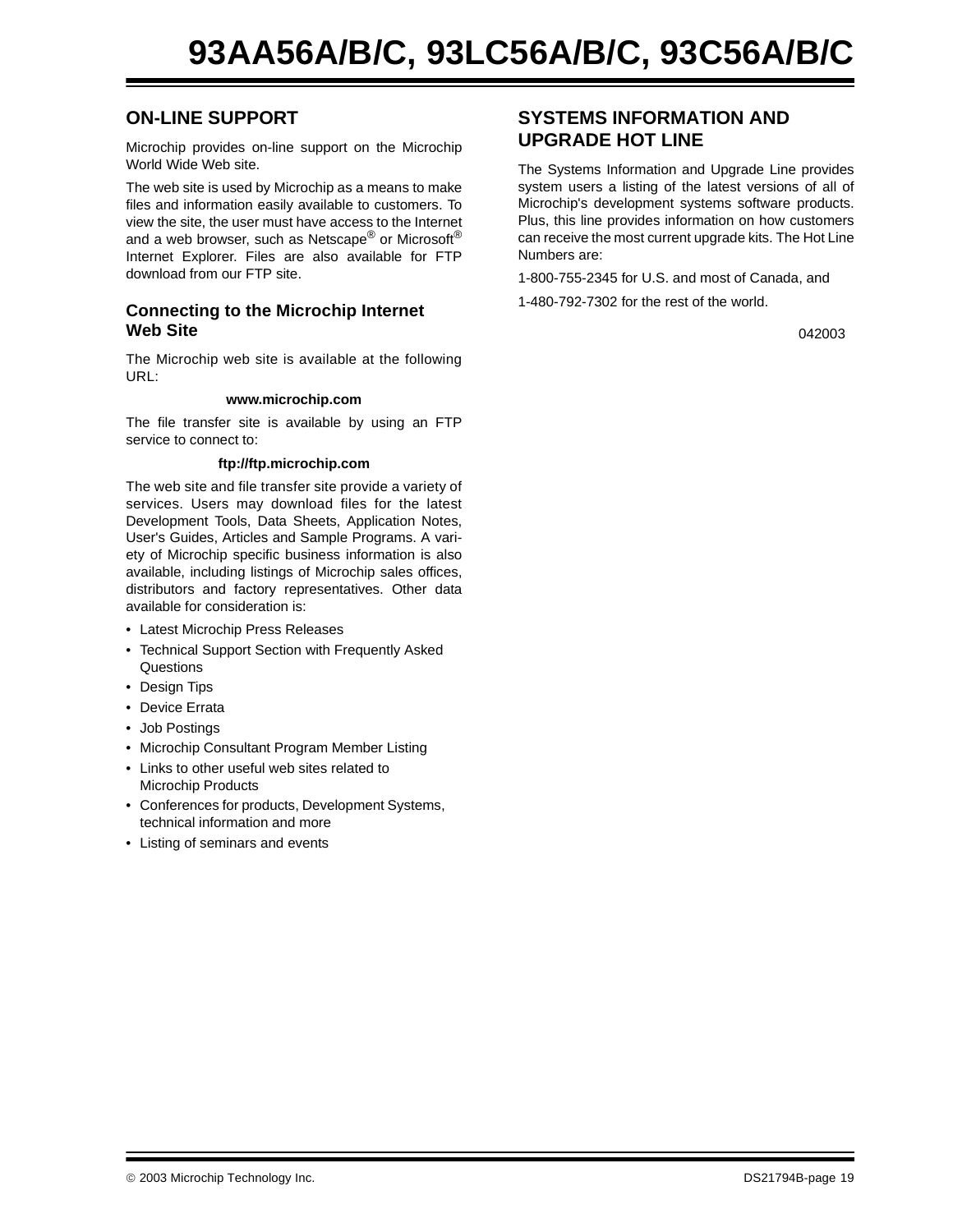## **ON-LINE SUPPORT**

Microchip provides on-line support on the Microchip World Wide Web site.

The web site is used by Microchip as a means to make files and information easily available to customers. To view the site, the user must have access to the Internet and a web browser, such as Netscape<sup>®</sup> or Microsoft<sup>®</sup> Internet Explorer. Files are also available for FTP download from our FTP site.

#### **Connecting to the Microchip Internet Web Site**

The Microchip web site is available at the following URL:

#### **www.microchip.com**

The file transfer site is available by using an FTP service to connect to:

#### **ftp://ftp.microchip.com**

The web site and file transfer site provide a variety of services. Users may download files for the latest Development Tools, Data Sheets, Application Notes, User's Guides, Articles and Sample Programs. A variety of Microchip specific business information is also available, including listings of Microchip sales offices, distributors and factory representatives. Other data available for consideration is:

- Latest Microchip Press Releases
- Technical Support Section with Frequently Asked **Questions**
- Design Tips
- Device Errata
- Job Postings
- Microchip Consultant Program Member Listing
- Links to other useful web sites related to Microchip Products
- Conferences for products, Development Systems, technical information and more
- Listing of seminars and events

## **SYSTEMS INFORMATION AND UPGRADE HOT LINE**

The Systems Information and Upgrade Line provides system users a listing of the latest versions of all of Microchip's development systems software products. Plus, this line provides information on how customers can receive the most current upgrade kits. The Hot Line Numbers are:

1-800-755-2345 for U.S. and most of Canada, and

1-480-792-7302 for the rest of the world.

042003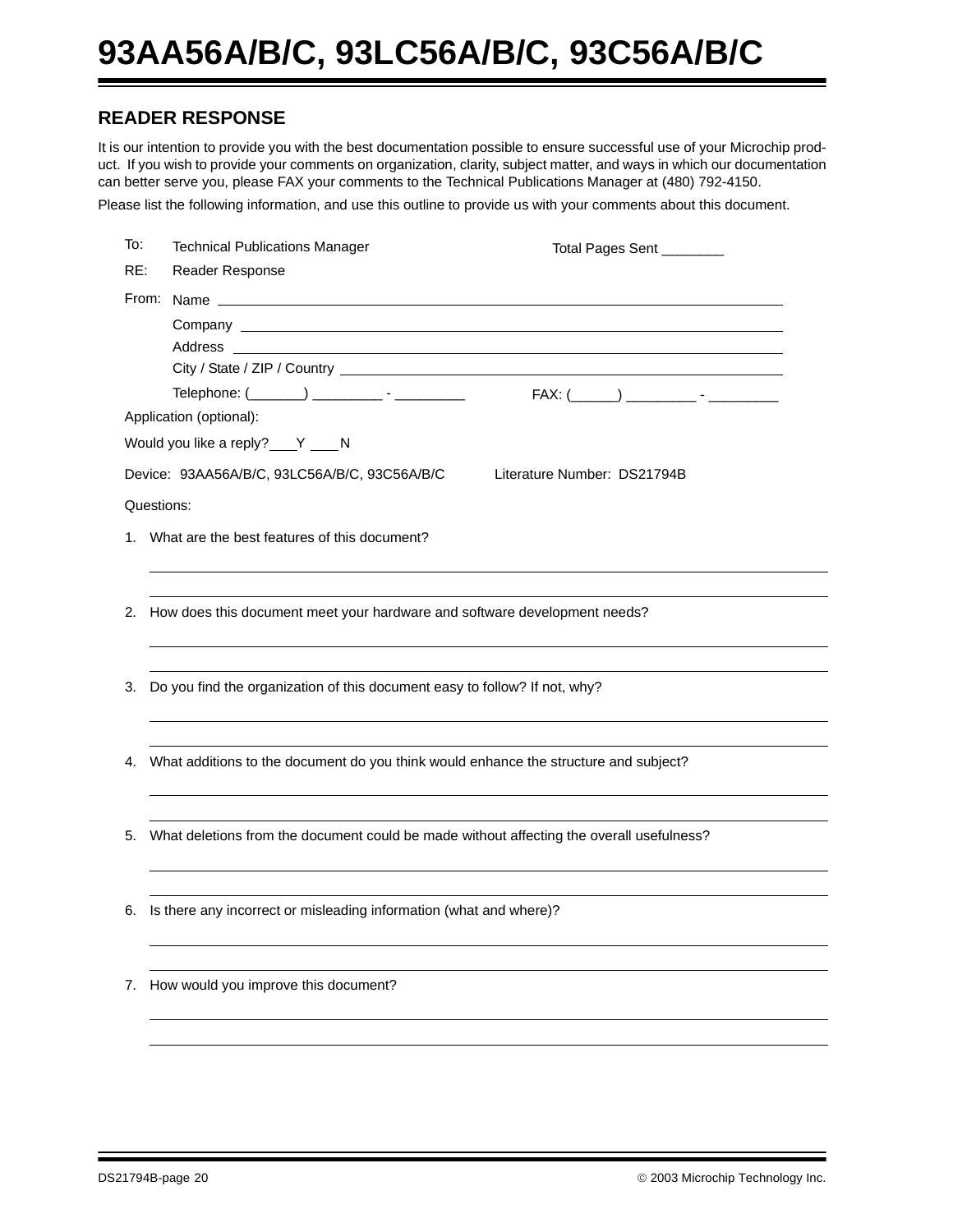# **93AA56A/B/C, 93LC56A/B/C, 93C56A/B/C**

## **READER RESPONSE**

It is our intention to provide you with the best documentation possible to ensure successful use of your Microchip product. If you wish to provide your comments on organization, clarity, subject matter, and ways in which our documentation can better serve you, please FAX your comments to the Technical Publications Manager at (480) 792-4150.

Please list the following information, and use this outline to provide us with your comments about this document.

| To: | <b>Technical Publications Manager</b>                                        | Total Pages Sent ________                                                                   |
|-----|------------------------------------------------------------------------------|---------------------------------------------------------------------------------------------|
| RE: | Reader Response                                                              |                                                                                             |
|     |                                                                              |                                                                                             |
|     |                                                                              |                                                                                             |
|     |                                                                              |                                                                                             |
|     |                                                                              |                                                                                             |
|     |                                                                              | Telephone: (_______) __________ - ___________    FAX: (_____) _________ - ________          |
|     | Application (optional):                                                      |                                                                                             |
|     | Would you like a reply? ___ Y ___ N                                          |                                                                                             |
|     | Device: 93AA56A/B/C, 93LC56A/B/C, 93C56A/B/C                                 | Literature Number: DS21794B                                                                 |
|     | Questions:                                                                   |                                                                                             |
|     | 1. What are the best features of this document?                              |                                                                                             |
|     |                                                                              |                                                                                             |
|     |                                                                              |                                                                                             |
|     | 2. How does this document meet your hardware and software development needs? |                                                                                             |
|     |                                                                              |                                                                                             |
|     | Do you find the organization of this document easy to follow? If not, why?   |                                                                                             |
| 3.  |                                                                              |                                                                                             |
|     |                                                                              |                                                                                             |
|     |                                                                              | 4. What additions to the document do you think would enhance the structure and subject?     |
|     |                                                                              |                                                                                             |
|     |                                                                              |                                                                                             |
|     |                                                                              | 5. What deletions from the document could be made without affecting the overall usefulness? |
|     |                                                                              |                                                                                             |
|     |                                                                              |                                                                                             |
| 6.  | Is there any incorrect or misleading information (what and where)?           |                                                                                             |
|     |                                                                              |                                                                                             |
|     |                                                                              |                                                                                             |
| 7.  | How would you improve this document?                                         |                                                                                             |
|     |                                                                              |                                                                                             |
|     |                                                                              |                                                                                             |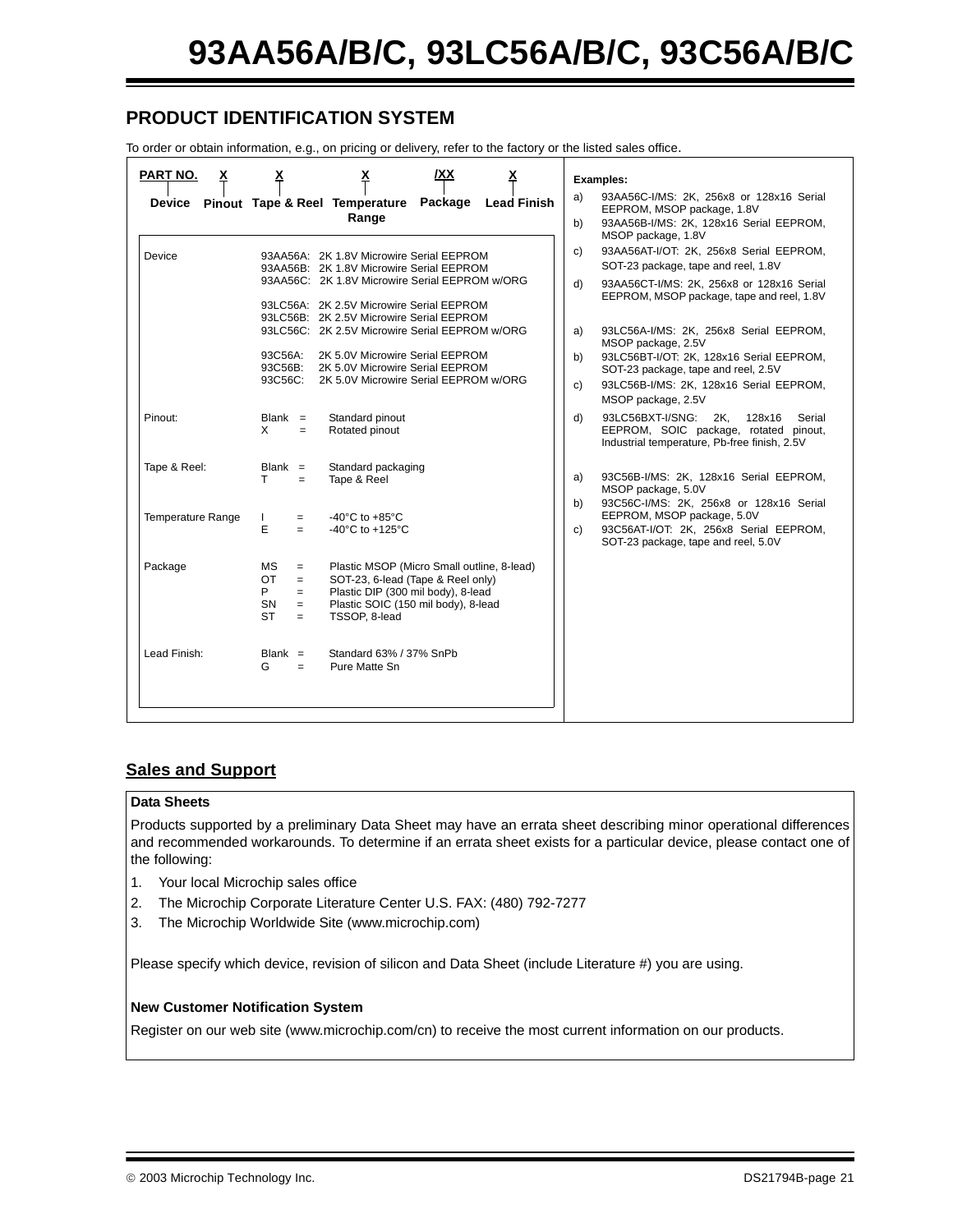## **PRODUCT IDENTIFICATION SYSTEM**

To order or obtain information, e.g., on pricing or delivery, refer to the factory or the listed sales office.

| PART NO.<br><u>x</u>                          |                                                                                    |                                                                                                                                                                                                                                                                                                                                                                                                 | <u>х</u>           |                                      | Examples:                                                                                                                                                                                                                                                                                                                                                                                    |
|-----------------------------------------------|------------------------------------------------------------------------------------|-------------------------------------------------------------------------------------------------------------------------------------------------------------------------------------------------------------------------------------------------------------------------------------------------------------------------------------------------------------------------------------------------|--------------------|--------------------------------------|----------------------------------------------------------------------------------------------------------------------------------------------------------------------------------------------------------------------------------------------------------------------------------------------------------------------------------------------------------------------------------------------|
| Device Pinout Tape & Reel Temperature Package |                                                                                    | Range                                                                                                                                                                                                                                                                                                                                                                                           | <b>Lead Finish</b> | a)<br>b)                             | 93AA56C-I/MS: 2K, 256x8 or 128x16 Serial<br>EEPROM, MSOP package, 1.8V<br>93AA56B-I/MS: 2K, 128x16 Serial EEPROM,<br>MSOP package, 1.8V                                                                                                                                                                                                                                                      |
| Device                                        | 93C56A:<br>93C56B:<br>93C56C:                                                      | 93AA56A: 2K 1.8V Microwire Serial EEPROM<br>93AA56B: 2K 1.8V Microwire Serial EEPROM<br>93AA56C: 2K 1.8V Microwire Serial EEPROM w/ORG<br>93LC56A: 2K 2.5V Microwire Serial EEPROM<br>93LC56B: 2K 2.5V Microwire Serial EEPROM<br>93LC56C: 2K 2.5V Microwire Serial EEPROM w/ORG<br>2K 5.0V Microwire Serial EEPROM<br>2K 5.0V Microwire Serial EEPROM<br>2K 5.0V Microwire Serial EEPROM w/ORG |                    | c)<br>$\mathsf{d}$<br>a)<br>b)<br>c) | 93AA56AT-I/OT: 2K, 256x8 Serial EEPROM,<br>SOT-23 package, tape and reel, 1.8V<br>93AA56CT-I/MS: 2K, 256x8 or 128x16 Serial<br>EEPROM, MSOP package, tape and reel, 1.8V<br>93LC56A-I/MS: 2K, 256x8 Serial EEPROM,<br>MSOP package, 2.5V<br>93LC56BT-I/OT: 2K, 128x16 Serial EEPROM,<br>SOT-23 package, tape and reel, 2.5V<br>93LC56B-I/MS: 2K, 128x16 Serial EEPROM,<br>MSOP package, 2.5V |
| Pinout:                                       | $Blank =$<br>X<br>$=$                                                              | Standard pinout<br>Rotated pinout                                                                                                                                                                                                                                                                                                                                                               |                    | $\mathsf{d}$                         | 128x16<br>93LC56BXT-I/SNG:<br>2K,<br>Serial<br>EEPROM, SOIC package, rotated pinout,<br>Industrial temperature, Pb-free finish, 2.5V                                                                                                                                                                                                                                                         |
| Tape & Reel:<br><b>Temperature Range</b>      | $Blank =$<br>T.<br>$=$<br>$=$                                                      | Standard packaging<br>Tape & Reel<br>-40 $^{\circ}$ C to +85 $^{\circ}$ C                                                                                                                                                                                                                                                                                                                       |                    | a)<br>b)                             | 93C56B-I/MS: 2K, 128x16 Serial EEPROM,<br>MSOP package, 5.0V<br>93C56C-I/MS: 2K, 256x8 or 128x16 Serial<br>EEPROM, MSOP package, 5.0V                                                                                                                                                                                                                                                        |
|                                               | E<br>$=$                                                                           | -40 $^{\circ}$ C to +125 $^{\circ}$ C                                                                                                                                                                                                                                                                                                                                                           |                    | c)                                   | 93C56AT-I/OT: 2K, 256x8 Serial EEPROM,<br>SOT-23 package, tape and reel, 5.0V                                                                                                                                                                                                                                                                                                                |
| Package                                       | <b>MS</b><br>$=$<br>OT<br>$=$<br>P.<br>$=$<br><b>SN</b><br>$=$<br><b>ST</b><br>$=$ | Plastic MSOP (Micro Small outline, 8-lead)<br>SOT-23, 6-lead (Tape & Reel only)<br>Plastic DIP (300 mil body), 8-lead<br>Plastic SOIC (150 mil body), 8-lead<br>TSSOP, 8-lead                                                                                                                                                                                                                   |                    |                                      |                                                                                                                                                                                                                                                                                                                                                                                              |
| Lead Finish:                                  | $Blank =$<br>G<br>$=$                                                              | Standard 63% / 37% SnPb<br>Pure Matte Sn                                                                                                                                                                                                                                                                                                                                                        |                    |                                      |                                                                                                                                                                                                                                                                                                                                                                                              |

#### **Sales and Support**

#### **Data Sheets**

Products supported by a preliminary Data Sheet may have an errata sheet describing minor operational differences and recommended workarounds. To determine if an errata sheet exists for a particular device, please contact one of the following:

- 1. Your local Microchip sales office
- 2. The Microchip Corporate Literature Center U.S. FAX: (480) 792-7277
- 3. The Microchip Worldwide Site (www.microchip.com)

Please specify which device, revision of silicon and Data Sheet (include Literature #) you are using.

#### **New Customer Notification System**

Register on our web site (www.microchip.com/cn) to receive the most current information on our products.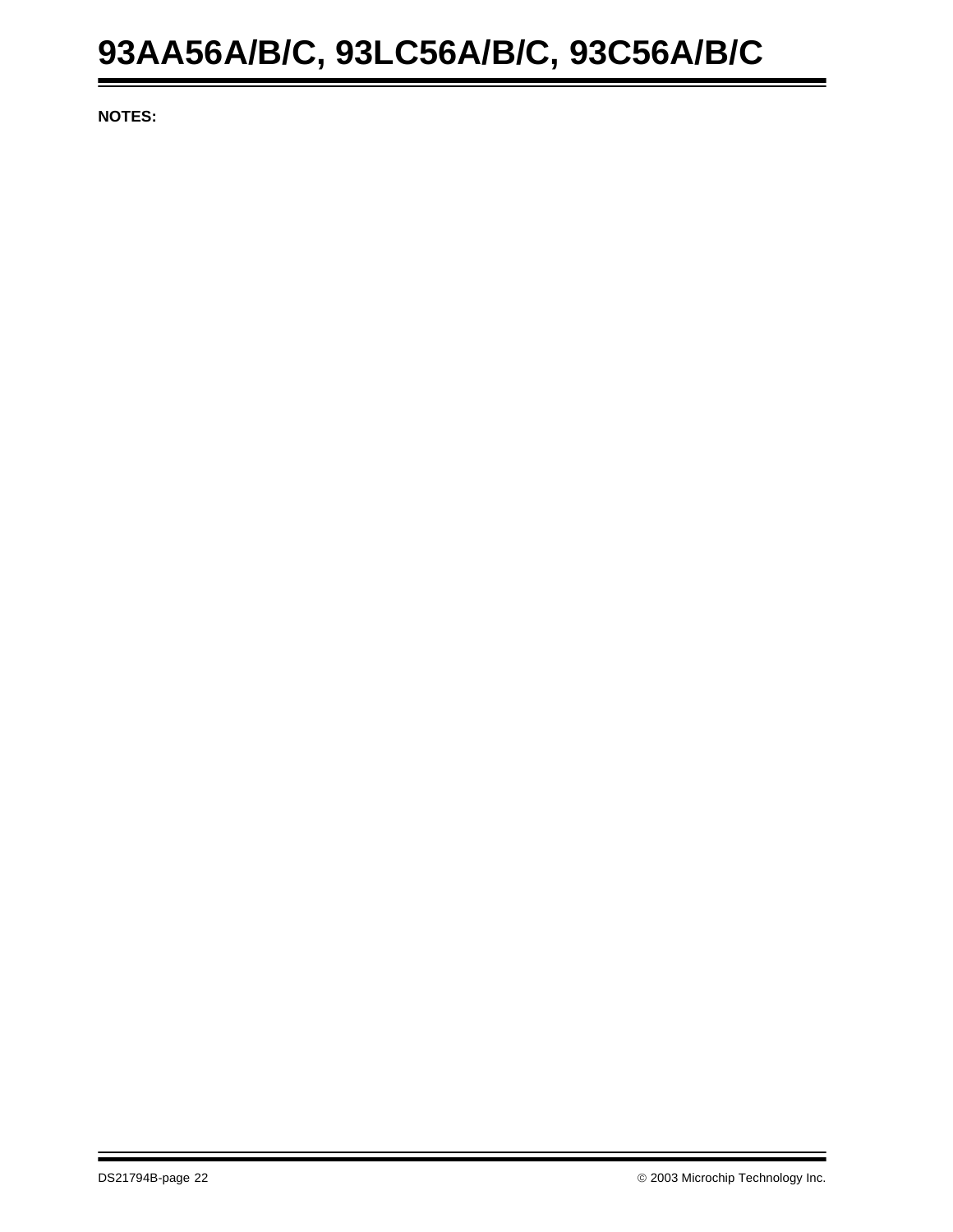# **93AA56A/B/C, 93LC56A/B/C, 93C56A/B/C**

**NOTES:**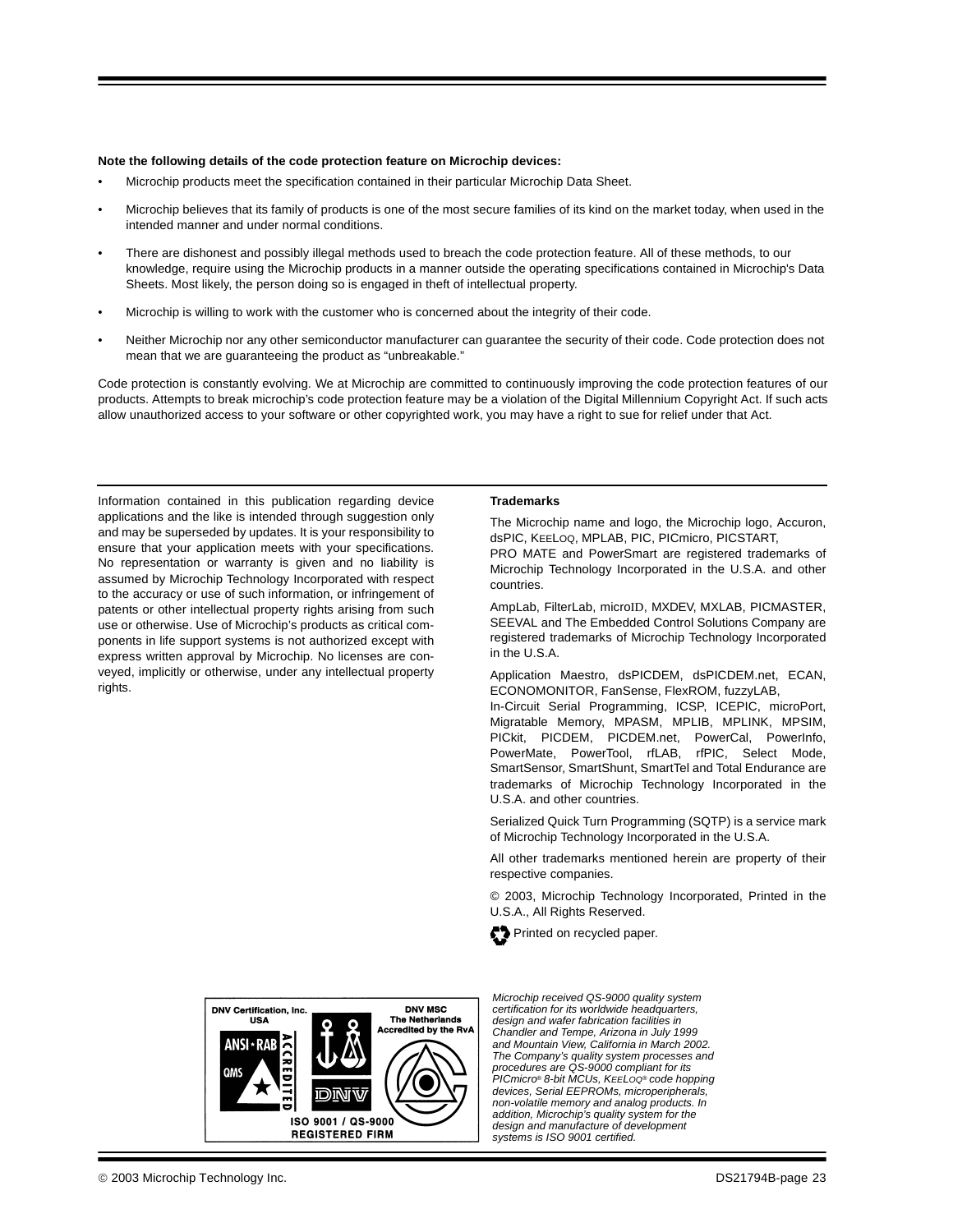#### **Note the following details of the code protection feature on Microchip devices:**

- Microchip products meet the specification contained in their particular Microchip Data Sheet.
- Microchip believes that its family of products is one of the most secure families of its kind on the market today, when used in the intended manner and under normal conditions.
- There are dishonest and possibly illegal methods used to breach the code protection feature. All of these methods, to our knowledge. require using the Microchip products in a manner outside the operating specifications contained in Microchip's Data Sheets. Most likely, the person doing so is engaged in theft of intellectual property.
- Microchip is willing to work with the customer who is concerned about the integrity of their code.
- Neither Microchip nor any other semiconductor manufacturer can guarantee the security of their code. Code protection does not mean that we are guaranteeing the product as "unbreakable."

Code protection is constantly evolving. We at Microchip are committed to continuously improving the code protection features of our products. Attempts to break microchip's code protection feature may be a violation of the Digital Millennium Copyright Act. If such acts allow unauthorized access to your software or other copyrighted work, you may have a right to sue for relief under that Act.

Information contained in this publication regarding device applications and the like is intended through suggestion only and may be superseded by updates. It is your responsibility to ensure that your application meets with your specifications. No representation or warranty is given and no liability is assumed by Microchip Technology Incorporated with respect to the accuracy or use of such information, or infringement of patents or other intellectual property rights arising from such use or otherwise. Use of Microchip's products as critical components in life support systems is not authorized except with express written approval by Microchip. No licenses are conveyed, implicitly or otherwise, under any intellectual property rights

#### **Trademarks**

The Microchip name and logo, the Microchip logo, Accuron, dsPIC, KEELOQ, MPLAB, PIC, PICmicro, PICSTART, PRO MATE and PowerSmart are registered trademarks of

Microchip Technology Incorporated in the U.S.A. and other countries.

AmpLab, FilterLab, microID, MXDEV, MXLAB, PICMASTER, SEEVAL and The Embedded Control Solutions Company are registered trademarks of Microchip Technology Incorporated in the U.S.A.

Application Maestro, dsPICDEM, dsPICDEM.net, ECAN, ECONOMONITOR, FanSense, FlexROM, fuzzyLAB,

In-Circuit Serial Programming, ICSP, ICEPIC, microPort, Migratable Memory, MPASM, MPLIB, MPLINK, MPSIM, PICkit, PICDEM, PICDEM.net, PowerCal, PowerInfo, PowerMate, PowerTool, rfLAB, rfPIC, Select Mode, SmartSensor, SmartShunt, SmartTel and Total Endurance are trademarks of Microchip Technology Incorporated in the U.S.A. and other countries.

Serialized Quick Turn Programming (SQTP) is a service mark of Microchip Technology Incorporated in the U.S.A.

All other trademarks mentioned herein are property of their respective companies.

© 2003, Microchip Technology Incorporated, Printed in the U.S.A., All Rights Reserved.





Microchip received QS-9000 quality system certification for its worldwide headquarters, design and wafer fabrication facilities in Chandler and Tempe, Arizona in July 1999 and Mountain View, California in March 2002. The Company's quality system processes and procedures are QS-9000 compliant for its PICmicro® 8-bit MCUs, KEELOQ® code hopping devices, Serial EEPROMs, microperipherals, non-volatile memory and analog products. In addition, Microchip's quality system for the design and manufacture of development systems is ISO 9001 certified.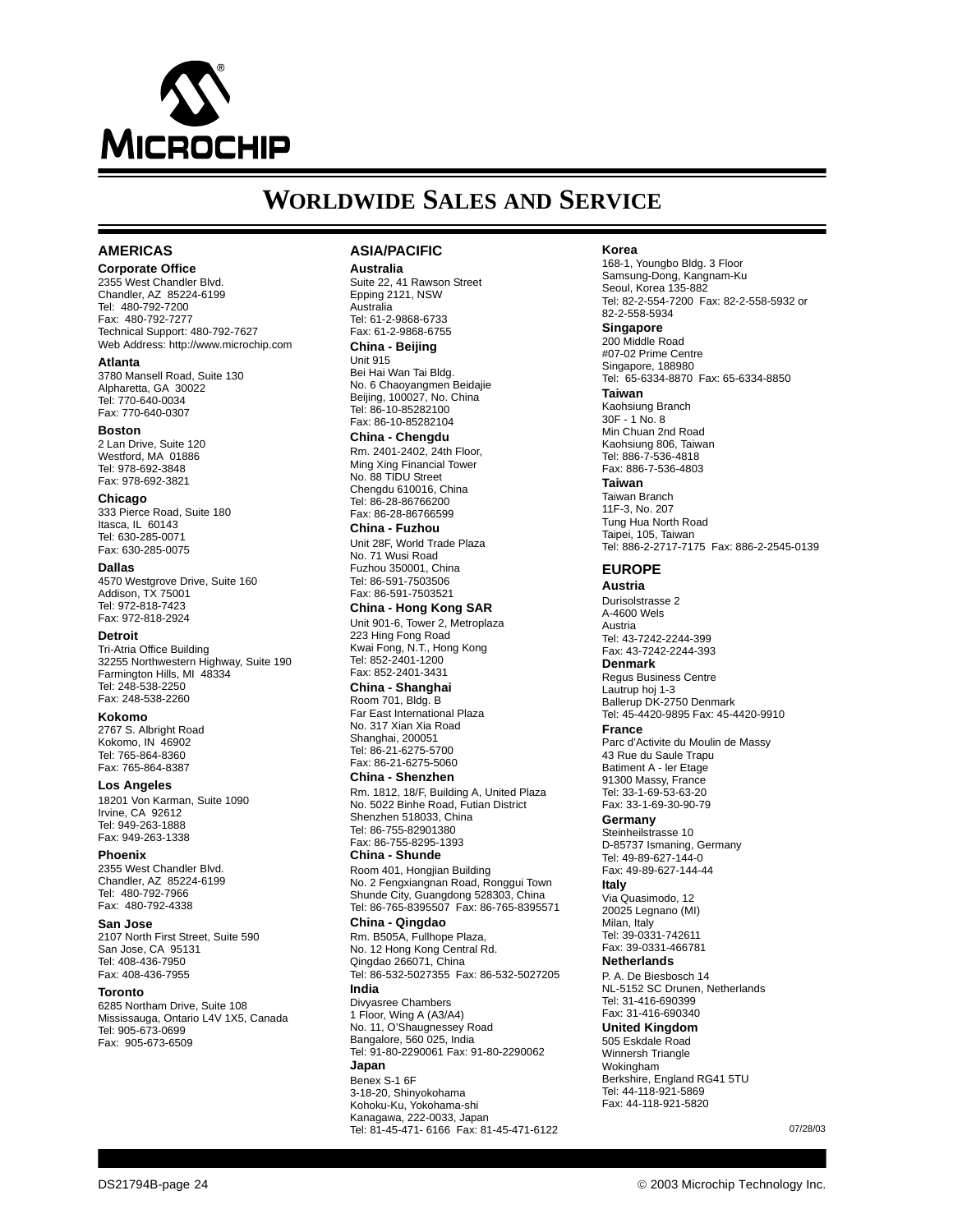

## **WORLDWIDE SALES AND SERVICE**

#### **AMERICAS**

**Corporate Office** 2355 West Chandler Blvd. Chandler, AZ 85224-6199 Tel: 480-792-7200 Fax: 480-792-7277 Technical Support: 480-792-7627

Web Address: http://www.microchip.com **Atlanta** 3780 Mansell Road, Suite 130 Alpharetta, GA 30022

Tel: 770-640-0034 Fax: 770-640-0307

#### **Boston**

2 Lan Drive, Suite 120 Westford, MA 01886 Tel: 978-692-3848 Fax: 978-692-3821

**Chicago**

333 Pierce Road, Suite 180 Itasca, IL 60143 Tel: 630-285-0071 Fax: 630-285-0075

#### **Dallas**

4570 Westgrove Drive, Suite 160 Addison, TX 75001 Tel: 972-818-7423 Fax: 972-818-2924

#### **Detroit**

Tri-Atria Office Building 32255 Northwestern Highway, Suite 190 Farmington Hills, MI 48334 Tel: 248-538-2250 Fax: 248-538-2260

**Kokomo**

2767 S. Albright Road Kokomo, IN 46902 Tel: 765-864-8360 Fax: 765-864-8387

**Los Angeles** 18201 Von Karman, Suite 1090 Irvine, CA 92612 Tel: 949-263-1888 Fax: 949-263-1338

**Phoenix** 2355 West Chandler Blvd. Chandler, AZ 85224-6199 Tel: 480-792-7966 Fax: 480-792-4338

#### **San Jose**

2107 North First Street, Suite 590 San Jose, CA 95131 Tel: 408-436-7950 Fax: 408-436-7955

#### **Toronto**

6285 Northam Drive, Suite 108 Mississauga, Ontario L4V 1X5, Canada Tel: 905-673-0699 Fax: 905-673-6509

#### **ASIA/PACIFIC**

**Australia** Suite 22, 41 Rawson Street Epping 2121, NSW Australia Tel: 61-2-9868-6733

Fax: 61-2-9868-6755 **China - Beijing**

Unit 915 Bei Hai Wan Tai Bldg. No. 6 Chaoyangmen Beidajie Beijing, 100027, No. China Tel: 86-10-85282100 Fax: 86-10-85282104

**China - Chengdu** Rm. 2401-2402, 24th Floor, Ming Xing Financial Tower No. 88 TIDU Street Chengdu 610016, China Tel: 86-28-86766200 Fax: 86-28-86766599

**China - Fuzhou** Unit 28F, World Trade Plaza No. 71 Wusi Road Fuzhou 350001, China Tel: 86-591-7503506 Fax: 86-591-7503521

**China - Hong Kong SAR** Unit 901-6, Tower 2, Metroplaza 223 Hing Fong Road Kwai Fong, N.T., Hong Kong Tel: 852-2401-1200 Fax: 852-2401-3431

**China - Shanghai** Room 701, Bldg. B Far East International Plaza No. 317 Xian Xia Road Shanghai, 200051 Tel: 86-21-6275-5700 Fax: 86-21-6275-5060 **China - Shenzhen**

Rm. 1812, 18/F, Building A, United Plaza No. 5022 Binhe Road, Futian District Shenzhen 518033, China Tel: 86-755-82901380 Fax: 86-755-8295-1393 **China - Shunde**

Room 401, Hongjian Building No. 2 Fengxiangnan Road, Ronggui Town Shunde City, Guangdong 528303, China Tel: 86-765-8395507 Fax: 86-765-8395571

#### **China - Qingdao**

Rm. B505A, Fullhope Plaza, No. 12 Hong Kong Central Rd. Qingdao 266071, China Tel: 86-532-5027355 Fax: 86-532-5027205 **India** Divyasree Chambers 1 Floor, Wing A (A3/A4) No. 11, O'Shaugnessey Road Bangalore, 560 025, India Tel: 91-80-2290061 Fax: 91-80-2290062 **Japan** Benex S-1 6F 3-18-20, Shinyokohama Kohoku-Ku, Yokohama-shi Kanagawa, 222-0033, Japan Tel: 81-45-471- 6166 Fax: 81-45-471-6122

#### **Korea**

168-1, Youngbo Bldg. 3 Floor Samsung-Dong, Kangnam-Ku Seoul, Korea 135-882 Tel: 82-2-554-7200 Fax: 82-2-558-5932 or 82-2-558-5934 **Singapore** 200 Middle Road #07-02 Prime Centre Singapore, 188980 Tel: 65-6334-8870 Fax: 65-6334-8850 **Taiwan** Kaohsiung Branch 30F - 1 No. 8 Min Chuan 2nd Road Kaohsiung 806, Taiwan Tel: 886-7-536-4818 Fax: 886-7-536-4803 **Taiwan** Taiwan Branch 11F-3, No. 207 Tung Hua North Road Taipei, 105, Taiwan Tel: 886-2-2717-7175 Fax: 886-2-2545-0139

#### **EUROPE**

**Austria** Durisolstrasse 2 A-4600 Wels Austria Tel: 43-7242-2244-399 Fax: 43-7242-2244-393

**Denmark**

Regus Business Centre Lautrup hoj 1-3 Ballerup DK-2750 Denmark Tel: 45-4420-9895 Fax: 45-4420-9910

**France**

Parc d'Activite du Moulin de Massy 43 Rue du Saule Trapu Batiment A - ler Etage 91300 Massy, France Tel: 33-1-69-53-63-20 Fax: 33-1-69-30-90-79

**Germany**

Steinheilstrasse 10 D-85737 Ismaning, Germany Tel: 49-89-627-144-0 Fax: 49-89-627-144-44

**Italy**

Via Quasimodo, 12 20025 Legnano (MI) Milan, Italy

Tel: 39-0331-742611 Fax: 39-0331-466781

**Netherlands**

P. A. De Biesbosch 14 NL-5152 SC Drunen, Netherlands Tel: 31-416-690399 Fax: 31-416-690340 **United Kingdom**

505 Eskdale Road

Winnersh Triangle Wokingham Berkshire, England RG41 5TU Tel: 44-118-921-5869 Fax: 44-118-921-5820

07/28/03